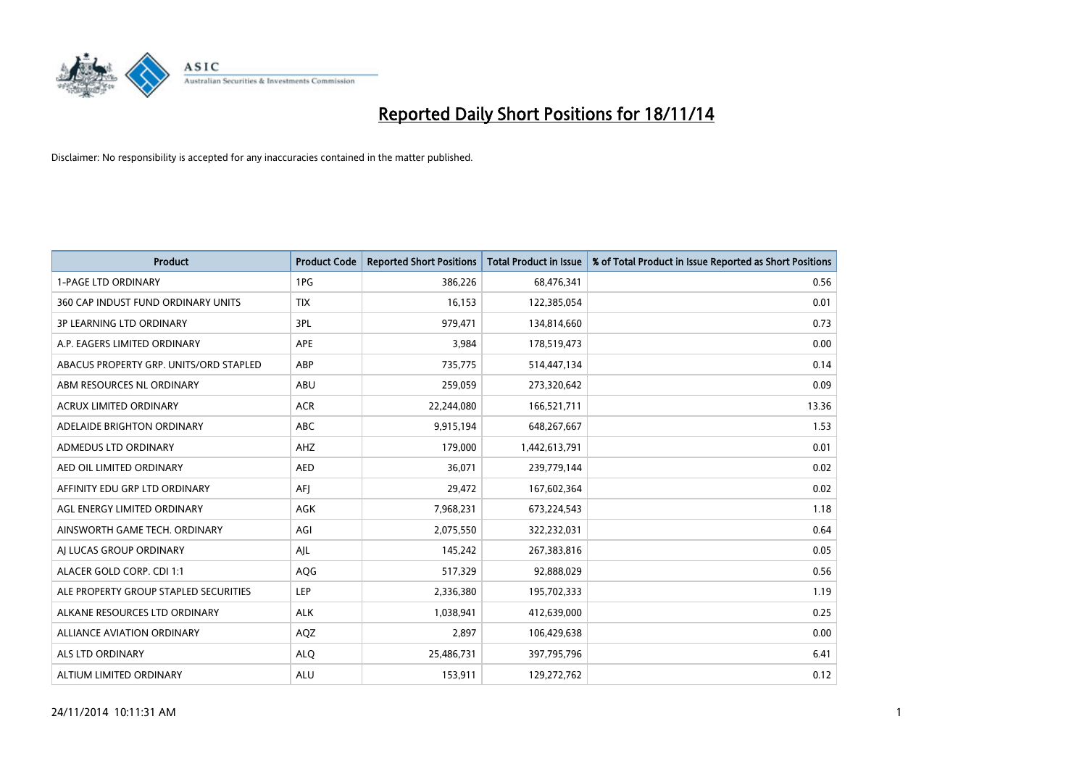

| Product                                | <b>Product Code</b> | <b>Reported Short Positions</b> | <b>Total Product in Issue</b> | % of Total Product in Issue Reported as Short Positions |
|----------------------------------------|---------------------|---------------------------------|-------------------------------|---------------------------------------------------------|
| <b>1-PAGE LTD ORDINARY</b>             | 1PG                 | 386,226                         | 68,476,341                    | 0.56                                                    |
| 360 CAP INDUST FUND ORDINARY UNITS     | <b>TIX</b>          | 16,153                          | 122,385,054                   | 0.01                                                    |
| <b>3P LEARNING LTD ORDINARY</b>        | 3PL                 | 979,471                         | 134,814,660                   | 0.73                                                    |
| A.P. EAGERS LIMITED ORDINARY           | APE                 | 3,984                           | 178,519,473                   | 0.00                                                    |
| ABACUS PROPERTY GRP. UNITS/ORD STAPLED | ABP                 | 735,775                         | 514,447,134                   | 0.14                                                    |
| ABM RESOURCES NL ORDINARY              | <b>ABU</b>          | 259,059                         | 273,320,642                   | 0.09                                                    |
| <b>ACRUX LIMITED ORDINARY</b>          | <b>ACR</b>          | 22,244,080                      | 166,521,711                   | 13.36                                                   |
| ADELAIDE BRIGHTON ORDINARY             | <b>ABC</b>          | 9,915,194                       | 648,267,667                   | 1.53                                                    |
| ADMEDUS LTD ORDINARY                   | AHZ                 | 179,000                         | 1,442,613,791                 | 0.01                                                    |
| AED OIL LIMITED ORDINARY               | <b>AED</b>          | 36,071                          | 239,779,144                   | 0.02                                                    |
| AFFINITY EDU GRP LTD ORDINARY          | AFI                 | 29,472                          | 167,602,364                   | 0.02                                                    |
| AGL ENERGY LIMITED ORDINARY            | AGK                 | 7,968,231                       | 673,224,543                   | 1.18                                                    |
| AINSWORTH GAME TECH. ORDINARY          | AGI                 | 2,075,550                       | 322,232,031                   | 0.64                                                    |
| AI LUCAS GROUP ORDINARY                | AJL                 | 145,242                         | 267,383,816                   | 0.05                                                    |
| ALACER GOLD CORP. CDI 1:1              | AQG                 | 517,329                         | 92,888,029                    | 0.56                                                    |
| ALE PROPERTY GROUP STAPLED SECURITIES  | LEP                 | 2,336,380                       | 195,702,333                   | 1.19                                                    |
| ALKANE RESOURCES LTD ORDINARY          | <b>ALK</b>          | 1,038,941                       | 412,639,000                   | 0.25                                                    |
| ALLIANCE AVIATION ORDINARY             | AQZ                 | 2,897                           | 106,429,638                   | 0.00                                                    |
| ALS LTD ORDINARY                       | <b>ALO</b>          | 25,486,731                      | 397,795,796                   | 6.41                                                    |
| ALTIUM LIMITED ORDINARY                | <b>ALU</b>          | 153,911                         | 129,272,762                   | 0.12                                                    |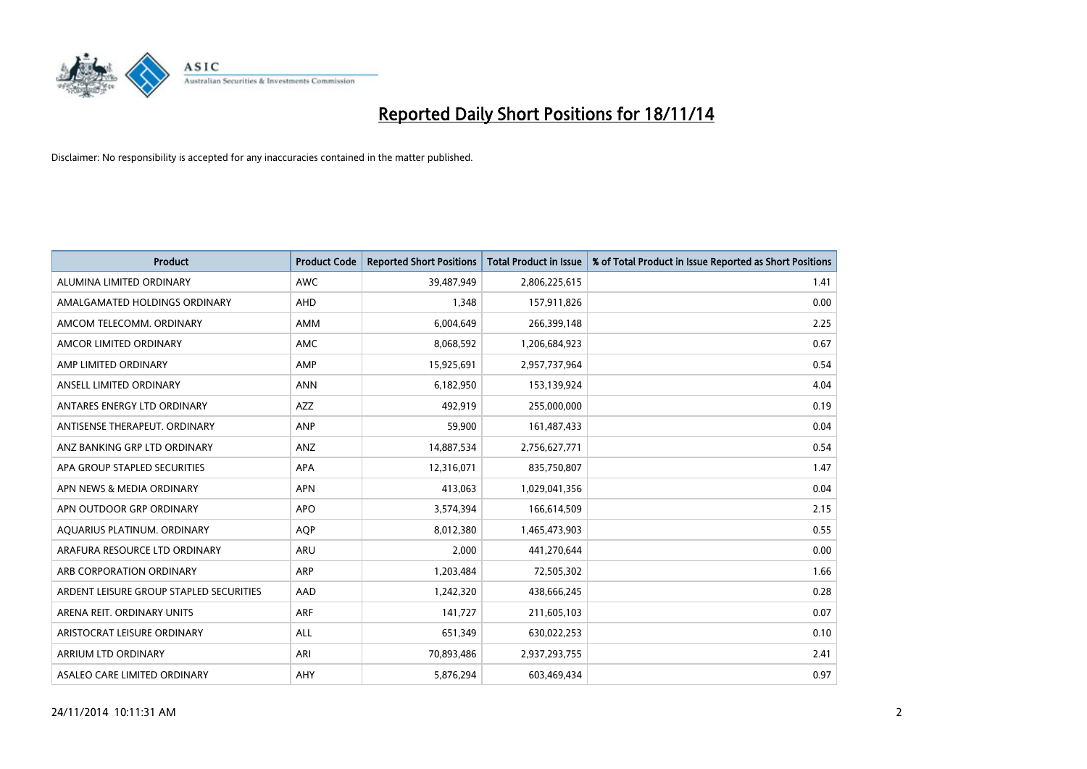

| <b>Product</b>                          | <b>Product Code</b> | <b>Reported Short Positions</b> | <b>Total Product in Issue</b> | % of Total Product in Issue Reported as Short Positions |
|-----------------------------------------|---------------------|---------------------------------|-------------------------------|---------------------------------------------------------|
| ALUMINA LIMITED ORDINARY                | <b>AWC</b>          | 39,487,949                      | 2,806,225,615                 | 1.41                                                    |
| AMALGAMATED HOLDINGS ORDINARY           | AHD                 | 1,348                           | 157,911,826                   | 0.00                                                    |
| AMCOM TELECOMM, ORDINARY                | AMM                 | 6,004,649                       | 266,399,148                   | 2.25                                                    |
| AMCOR LIMITED ORDINARY                  | AMC                 | 8,068,592                       | 1,206,684,923                 | 0.67                                                    |
| AMP LIMITED ORDINARY                    | AMP                 | 15,925,691                      | 2,957,737,964                 | 0.54                                                    |
| ANSELL LIMITED ORDINARY                 | <b>ANN</b>          | 6,182,950                       | 153,139,924                   | 4.04                                                    |
| ANTARES ENERGY LTD ORDINARY             | AZZ                 | 492,919                         | 255,000,000                   | 0.19                                                    |
| ANTISENSE THERAPEUT. ORDINARY           | ANP                 | 59,900                          | 161,487,433                   | 0.04                                                    |
| ANZ BANKING GRP LTD ORDINARY            | ANZ                 | 14,887,534                      | 2,756,627,771                 | 0.54                                                    |
| APA GROUP STAPLED SECURITIES            | <b>APA</b>          | 12,316,071                      | 835,750,807                   | 1.47                                                    |
| APN NEWS & MEDIA ORDINARY               | <b>APN</b>          | 413,063                         | 1,029,041,356                 | 0.04                                                    |
| APN OUTDOOR GRP ORDINARY                | <b>APO</b>          | 3,574,394                       | 166,614,509                   | 2.15                                                    |
| AQUARIUS PLATINUM. ORDINARY             | <b>AOP</b>          | 8,012,380                       | 1,465,473,903                 | 0.55                                                    |
| ARAFURA RESOURCE LTD ORDINARY           | ARU                 | 2,000                           | 441,270,644                   | 0.00                                                    |
| ARB CORPORATION ORDINARY                | <b>ARP</b>          | 1,203,484                       | 72,505,302                    | 1.66                                                    |
| ARDENT LEISURE GROUP STAPLED SECURITIES | AAD                 | 1,242,320                       | 438,666,245                   | 0.28                                                    |
| ARENA REIT. ORDINARY UNITS              | <b>ARF</b>          | 141,727                         | 211,605,103                   | 0.07                                                    |
| ARISTOCRAT LEISURE ORDINARY             | <b>ALL</b>          | 651,349                         | 630,022,253                   | 0.10                                                    |
| ARRIUM LTD ORDINARY                     | ARI                 | 70,893,486                      | 2,937,293,755                 | 2.41                                                    |
| ASALEO CARE LIMITED ORDINARY            | AHY                 | 5,876,294                       | 603,469,434                   | 0.97                                                    |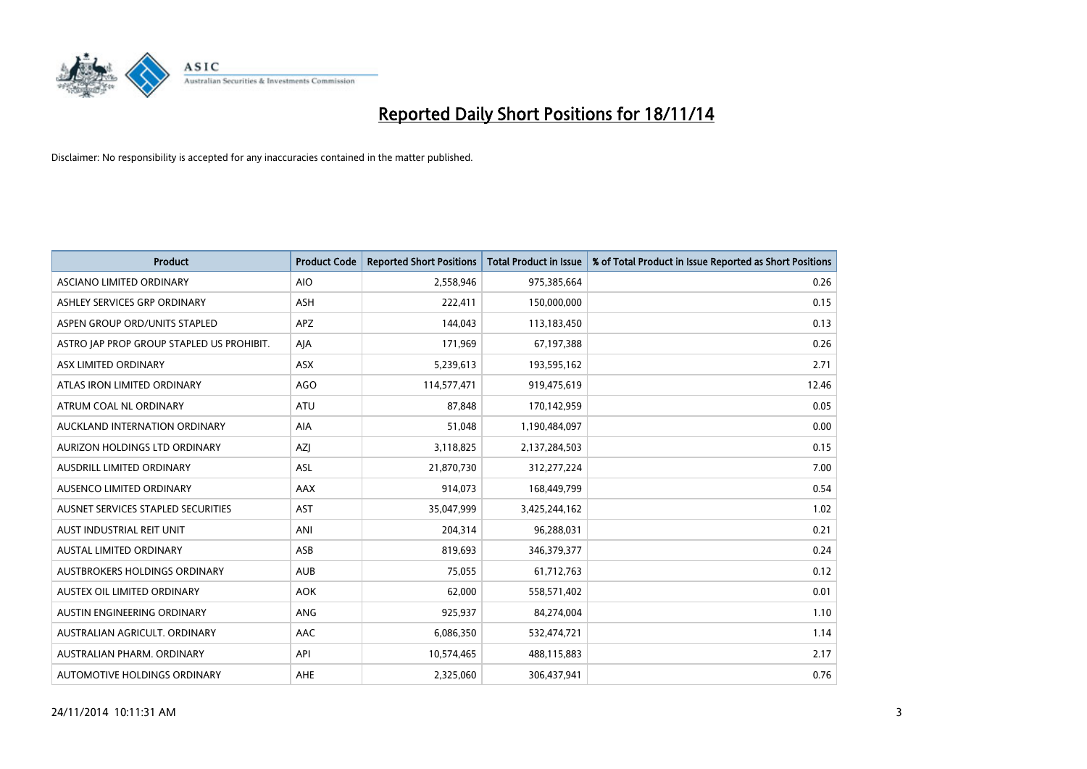

| <b>Product</b>                            | <b>Product Code</b> | <b>Reported Short Positions</b> | <b>Total Product in Issue</b> | % of Total Product in Issue Reported as Short Positions |
|-------------------------------------------|---------------------|---------------------------------|-------------------------------|---------------------------------------------------------|
| <b>ASCIANO LIMITED ORDINARY</b>           | <b>AIO</b>          | 2,558,946                       | 975,385,664                   | 0.26                                                    |
| ASHLEY SERVICES GRP ORDINARY              | ASH                 | 222,411                         | 150,000,000                   | 0.15                                                    |
| ASPEN GROUP ORD/UNITS STAPLED             | <b>APZ</b>          | 144,043                         | 113,183,450                   | 0.13                                                    |
| ASTRO JAP PROP GROUP STAPLED US PROHIBIT. | AJA                 | 171,969                         | 67,197,388                    | 0.26                                                    |
| ASX LIMITED ORDINARY                      | ASX                 | 5,239,613                       | 193,595,162                   | 2.71                                                    |
| ATLAS IRON LIMITED ORDINARY               | <b>AGO</b>          | 114,577,471                     | 919,475,619                   | 12.46                                                   |
| ATRUM COAL NL ORDINARY                    | ATU                 | 87,848                          | 170,142,959                   | 0.05                                                    |
| AUCKLAND INTERNATION ORDINARY             | AIA                 | 51,048                          | 1,190,484,097                 | 0.00                                                    |
| <b>AURIZON HOLDINGS LTD ORDINARY</b>      | AZJ                 | 3,118,825                       | 2,137,284,503                 | 0.15                                                    |
| <b>AUSDRILL LIMITED ORDINARY</b>          | <b>ASL</b>          | 21,870,730                      | 312,277,224                   | 7.00                                                    |
| AUSENCO LIMITED ORDINARY                  | AAX                 | 914,073                         | 168,449,799                   | 0.54                                                    |
| AUSNET SERVICES STAPLED SECURITIES        | <b>AST</b>          | 35,047,999                      | 3,425,244,162                 | 1.02                                                    |
| AUST INDUSTRIAL REIT UNIT                 | ANI                 | 204,314                         | 96,288,031                    | 0.21                                                    |
| <b>AUSTAL LIMITED ORDINARY</b>            | ASB                 | 819,693                         | 346,379,377                   | 0.24                                                    |
| AUSTBROKERS HOLDINGS ORDINARY             | <b>AUB</b>          | 75,055                          | 61,712,763                    | 0.12                                                    |
| AUSTEX OIL LIMITED ORDINARY               | <b>AOK</b>          | 62,000                          | 558,571,402                   | 0.01                                                    |
| AUSTIN ENGINEERING ORDINARY               | ANG                 | 925,937                         | 84,274,004                    | 1.10                                                    |
| AUSTRALIAN AGRICULT. ORDINARY             | AAC                 | 6,086,350                       | 532,474,721                   | 1.14                                                    |
| AUSTRALIAN PHARM, ORDINARY                | API                 | 10,574,465                      | 488,115,883                   | 2.17                                                    |
| AUTOMOTIVE HOLDINGS ORDINARY              | AHE                 | 2,325,060                       | 306,437,941                   | 0.76                                                    |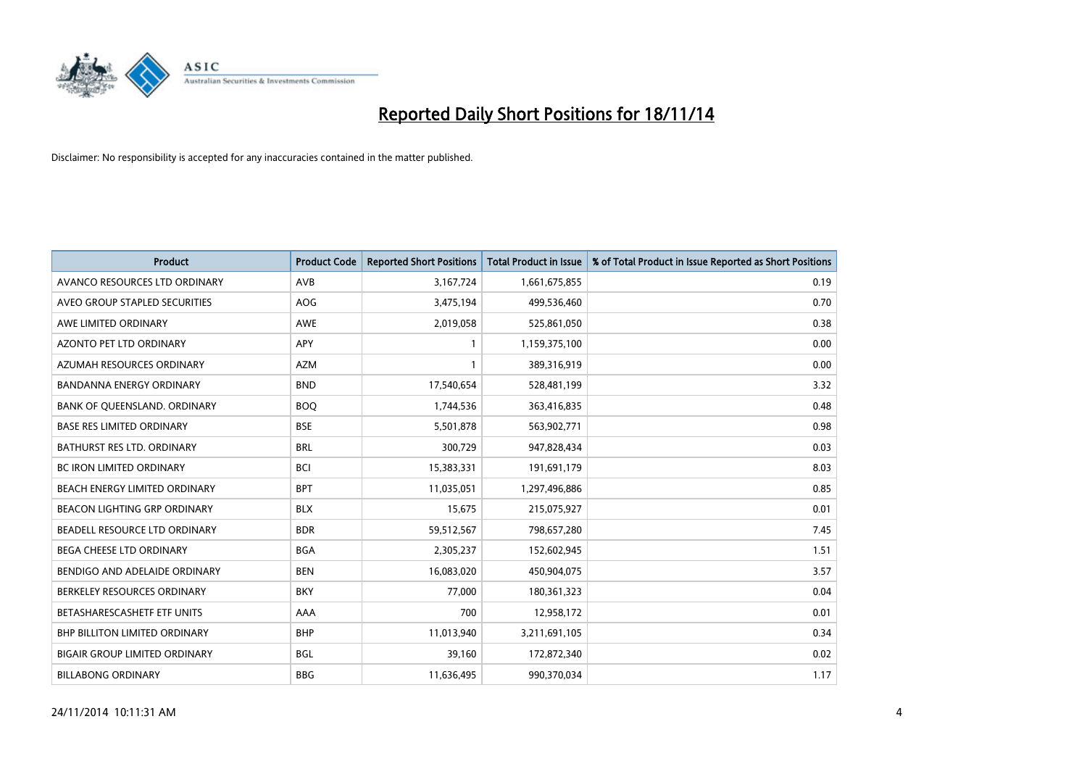

| <b>Product</b>                       | <b>Product Code</b> | <b>Reported Short Positions</b> | <b>Total Product in Issue</b> | % of Total Product in Issue Reported as Short Positions |
|--------------------------------------|---------------------|---------------------------------|-------------------------------|---------------------------------------------------------|
| AVANCO RESOURCES LTD ORDINARY        | AVB                 | 3,167,724                       | 1,661,675,855                 | 0.19                                                    |
| AVEO GROUP STAPLED SECURITIES        | AOG                 | 3,475,194                       | 499,536,460                   | 0.70                                                    |
| AWE LIMITED ORDINARY                 | <b>AWE</b>          | 2,019,058                       | 525,861,050                   | 0.38                                                    |
| AZONTO PET LTD ORDINARY              | APY                 | 1                               | 1,159,375,100                 | 0.00                                                    |
| AZUMAH RESOURCES ORDINARY            | <b>AZM</b>          | $\mathbf{1}$                    | 389,316,919                   | 0.00                                                    |
| <b>BANDANNA ENERGY ORDINARY</b>      | <b>BND</b>          | 17,540,654                      | 528,481,199                   | 3.32                                                    |
| BANK OF QUEENSLAND. ORDINARY         | <b>BOO</b>          | 1,744,536                       | 363,416,835                   | 0.48                                                    |
| <b>BASE RES LIMITED ORDINARY</b>     | <b>BSE</b>          | 5,501,878                       | 563,902,771                   | 0.98                                                    |
| BATHURST RES LTD. ORDINARY           | <b>BRL</b>          | 300,729                         | 947,828,434                   | 0.03                                                    |
| <b>BC IRON LIMITED ORDINARY</b>      | <b>BCI</b>          | 15,383,331                      | 191,691,179                   | 8.03                                                    |
| BEACH ENERGY LIMITED ORDINARY        | <b>BPT</b>          | 11,035,051                      | 1,297,496,886                 | 0.85                                                    |
| <b>BEACON LIGHTING GRP ORDINARY</b>  | <b>BLX</b>          | 15,675                          | 215,075,927                   | 0.01                                                    |
| BEADELL RESOURCE LTD ORDINARY        | <b>BDR</b>          | 59,512,567                      | 798,657,280                   | 7.45                                                    |
| <b>BEGA CHEESE LTD ORDINARY</b>      | <b>BGA</b>          | 2,305,237                       | 152,602,945                   | 1.51                                                    |
| BENDIGO AND ADELAIDE ORDINARY        | <b>BEN</b>          | 16,083,020                      | 450,904,075                   | 3.57                                                    |
| BERKELEY RESOURCES ORDINARY          | <b>BKY</b>          | 77,000                          | 180,361,323                   | 0.04                                                    |
| BETASHARESCASHETF ETF UNITS          | AAA                 | 700                             | 12,958,172                    | 0.01                                                    |
| <b>BHP BILLITON LIMITED ORDINARY</b> | <b>BHP</b>          | 11,013,940                      | 3,211,691,105                 | 0.34                                                    |
| <b>BIGAIR GROUP LIMITED ORDINARY</b> | <b>BGL</b>          | 39,160                          | 172,872,340                   | 0.02                                                    |
| <b>BILLABONG ORDINARY</b>            | <b>BBG</b>          | 11,636,495                      | 990,370,034                   | 1.17                                                    |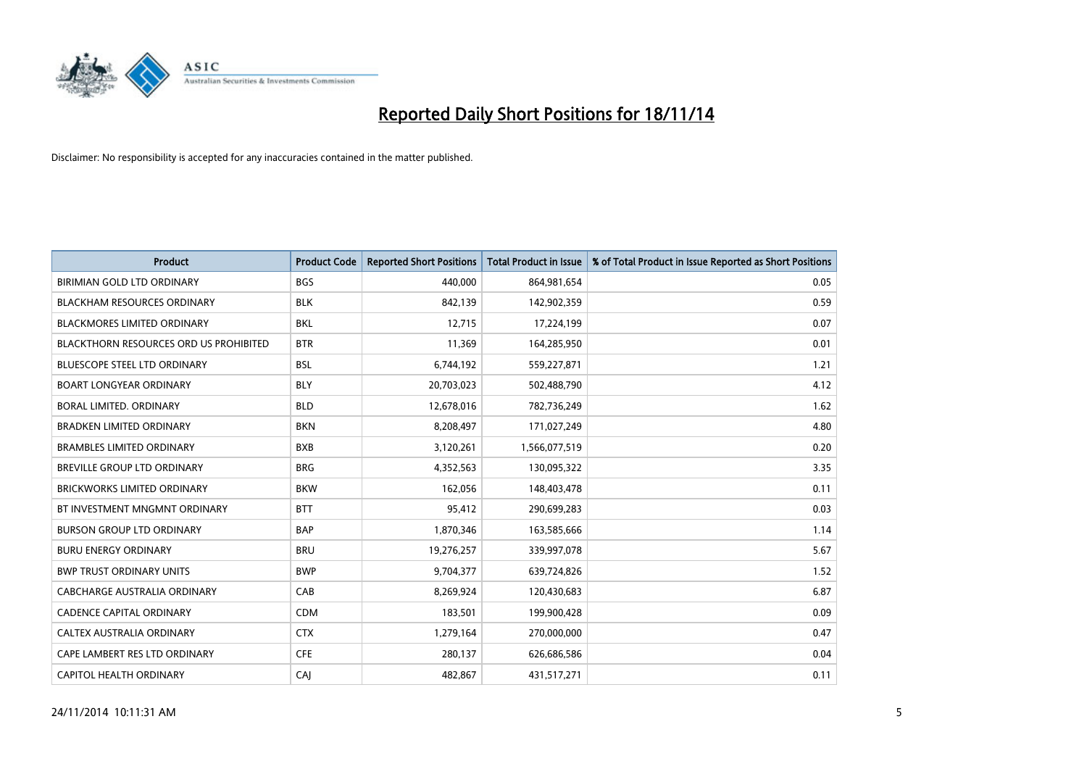

| <b>Product</b>                         | <b>Product Code</b> | <b>Reported Short Positions</b> | <b>Total Product in Issue</b> | % of Total Product in Issue Reported as Short Positions |
|----------------------------------------|---------------------|---------------------------------|-------------------------------|---------------------------------------------------------|
| BIRIMIAN GOLD LTD ORDINARY             | <b>BGS</b>          | 440,000                         | 864,981,654                   | 0.05                                                    |
| <b>BLACKHAM RESOURCES ORDINARY</b>     | <b>BLK</b>          | 842,139                         | 142,902,359                   | 0.59                                                    |
| <b>BLACKMORES LIMITED ORDINARY</b>     | <b>BKL</b>          | 12,715                          | 17,224,199                    | 0.07                                                    |
| BLACKTHORN RESOURCES ORD US PROHIBITED | <b>BTR</b>          | 11,369                          | 164,285,950                   | 0.01                                                    |
| <b>BLUESCOPE STEEL LTD ORDINARY</b>    | <b>BSL</b>          | 6,744,192                       | 559,227,871                   | 1.21                                                    |
| <b>BOART LONGYEAR ORDINARY</b>         | <b>BLY</b>          | 20,703,023                      | 502,488,790                   | 4.12                                                    |
| BORAL LIMITED, ORDINARY                | <b>BLD</b>          | 12,678,016                      | 782,736,249                   | 1.62                                                    |
| <b>BRADKEN LIMITED ORDINARY</b>        | <b>BKN</b>          | 8,208,497                       | 171,027,249                   | 4.80                                                    |
| <b>BRAMBLES LIMITED ORDINARY</b>       | <b>BXB</b>          | 3,120,261                       | 1,566,077,519                 | 0.20                                                    |
| <b>BREVILLE GROUP LTD ORDINARY</b>     | <b>BRG</b>          | 4,352,563                       | 130,095,322                   | 3.35                                                    |
| BRICKWORKS LIMITED ORDINARY            | <b>BKW</b>          | 162,056                         | 148,403,478                   | 0.11                                                    |
| BT INVESTMENT MNGMNT ORDINARY          | <b>BTT</b>          | 95,412                          | 290,699,283                   | 0.03                                                    |
| <b>BURSON GROUP LTD ORDINARY</b>       | <b>BAP</b>          | 1,870,346                       | 163,585,666                   | 1.14                                                    |
| <b>BURU ENERGY ORDINARY</b>            | <b>BRU</b>          | 19,276,257                      | 339,997,078                   | 5.67                                                    |
| <b>BWP TRUST ORDINARY UNITS</b>        | <b>BWP</b>          | 9,704,377                       | 639,724,826                   | 1.52                                                    |
| CABCHARGE AUSTRALIA ORDINARY           | CAB                 | 8,269,924                       | 120,430,683                   | 6.87                                                    |
| <b>CADENCE CAPITAL ORDINARY</b>        | <b>CDM</b>          | 183,501                         | 199,900,428                   | 0.09                                                    |
| CALTEX AUSTRALIA ORDINARY              | <b>CTX</b>          | 1,279,164                       | 270,000,000                   | 0.47                                                    |
| CAPE LAMBERT RES LTD ORDINARY          | <b>CFE</b>          | 280,137                         | 626,686,586                   | 0.04                                                    |
| CAPITOL HEALTH ORDINARY                | CAJ                 | 482,867                         | 431,517,271                   | 0.11                                                    |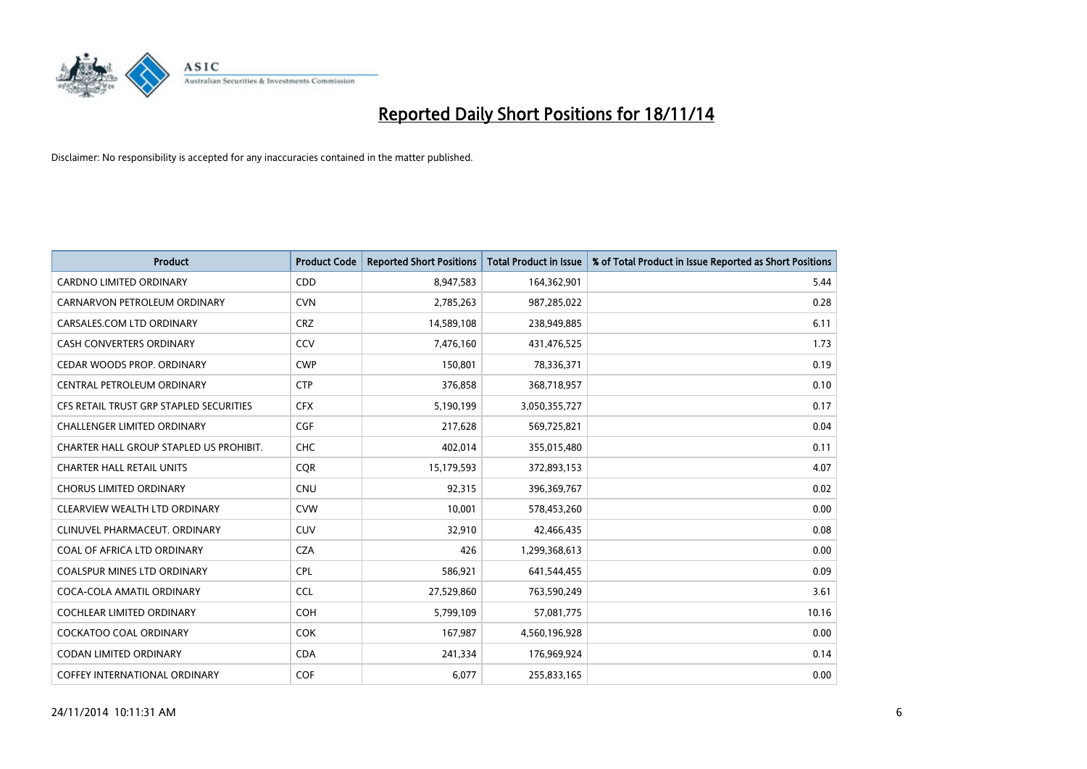

| Product                                 | <b>Product Code</b> | <b>Reported Short Positions</b> | <b>Total Product in Issue</b> | % of Total Product in Issue Reported as Short Positions |
|-----------------------------------------|---------------------|---------------------------------|-------------------------------|---------------------------------------------------------|
| <b>CARDNO LIMITED ORDINARY</b>          | CDD                 | 8,947,583                       | 164,362,901                   | 5.44                                                    |
| CARNARVON PETROLEUM ORDINARY            | <b>CVN</b>          | 2,785,263                       | 987,285,022                   | 0.28                                                    |
| CARSALES.COM LTD ORDINARY               | <b>CRZ</b>          | 14,589,108                      | 238,949,885                   | 6.11                                                    |
| CASH CONVERTERS ORDINARY                | CCV                 | 7,476,160                       | 431,476,525                   | 1.73                                                    |
| CEDAR WOODS PROP. ORDINARY              | <b>CWP</b>          | 150,801                         | 78,336,371                    | 0.19                                                    |
| CENTRAL PETROLEUM ORDINARY              | <b>CTP</b>          | 376,858                         | 368,718,957                   | 0.10                                                    |
| CFS RETAIL TRUST GRP STAPLED SECURITIES | <b>CFX</b>          | 5,190,199                       | 3,050,355,727                 | 0.17                                                    |
| <b>CHALLENGER LIMITED ORDINARY</b>      | <b>CGF</b>          | 217,628                         | 569,725,821                   | 0.04                                                    |
| CHARTER HALL GROUP STAPLED US PROHIBIT. | <b>CHC</b>          | 402,014                         | 355,015,480                   | 0.11                                                    |
| <b>CHARTER HALL RETAIL UNITS</b>        | <b>COR</b>          | 15,179,593                      | 372,893,153                   | 4.07                                                    |
| <b>CHORUS LIMITED ORDINARY</b>          | <b>CNU</b>          | 92,315                          | 396,369,767                   | 0.02                                                    |
| CLEARVIEW WEALTH LTD ORDINARY           | <b>CVW</b>          | 10,001                          | 578,453,260                   | 0.00                                                    |
| CLINUVEL PHARMACEUT. ORDINARY           | <b>CUV</b>          | 32,910                          | 42,466,435                    | 0.08                                                    |
| COAL OF AFRICA LTD ORDINARY             | <b>CZA</b>          | 426                             | 1,299,368,613                 | 0.00                                                    |
| <b>COALSPUR MINES LTD ORDINARY</b>      | <b>CPL</b>          | 586,921                         | 641,544,455                   | 0.09                                                    |
| COCA-COLA AMATIL ORDINARY               | <b>CCL</b>          | 27,529,860                      | 763,590,249                   | 3.61                                                    |
| COCHLEAR LIMITED ORDINARY               | <b>COH</b>          | 5,799,109                       | 57,081,775                    | 10.16                                                   |
| <b>COCKATOO COAL ORDINARY</b>           | <b>COK</b>          | 167,987                         | 4,560,196,928                 | 0.00                                                    |
| <b>CODAN LIMITED ORDINARY</b>           | <b>CDA</b>          | 241,334                         | 176,969,924                   | 0.14                                                    |
| <b>COFFEY INTERNATIONAL ORDINARY</b>    | <b>COF</b>          | 6,077                           | 255,833,165                   | 0.00                                                    |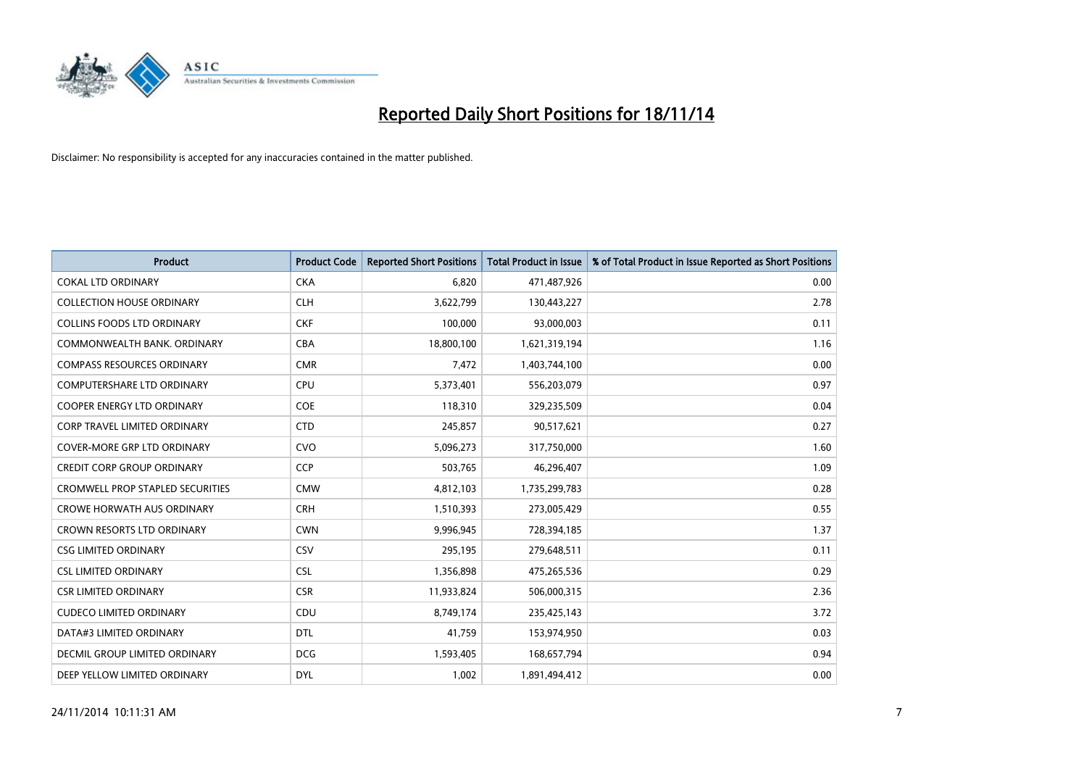

| Product                                 | <b>Product Code</b> | <b>Reported Short Positions</b> | <b>Total Product in Issue</b> | % of Total Product in Issue Reported as Short Positions |
|-----------------------------------------|---------------------|---------------------------------|-------------------------------|---------------------------------------------------------|
| <b>COKAL LTD ORDINARY</b>               | <b>CKA</b>          | 6,820                           | 471,487,926                   | 0.00                                                    |
| <b>COLLECTION HOUSE ORDINARY</b>        | <b>CLH</b>          | 3,622,799                       | 130,443,227                   | 2.78                                                    |
| <b>COLLINS FOODS LTD ORDINARY</b>       | <b>CKF</b>          | 100,000                         | 93,000,003                    | 0.11                                                    |
| COMMONWEALTH BANK, ORDINARY             | <b>CBA</b>          | 18,800,100                      | 1,621,319,194                 | 1.16                                                    |
| <b>COMPASS RESOURCES ORDINARY</b>       | <b>CMR</b>          | 7,472                           | 1,403,744,100                 | 0.00                                                    |
| <b>COMPUTERSHARE LTD ORDINARY</b>       | <b>CPU</b>          | 5,373,401                       | 556,203,079                   | 0.97                                                    |
| <b>COOPER ENERGY LTD ORDINARY</b>       | <b>COE</b>          | 118,310                         | 329,235,509                   | 0.04                                                    |
| <b>CORP TRAVEL LIMITED ORDINARY</b>     | <b>CTD</b>          | 245,857                         | 90,517,621                    | 0.27                                                    |
| <b>COVER-MORE GRP LTD ORDINARY</b>      | <b>CVO</b>          | 5,096,273                       | 317,750,000                   | 1.60                                                    |
| <b>CREDIT CORP GROUP ORDINARY</b>       | <b>CCP</b>          | 503,765                         | 46,296,407                    | 1.09                                                    |
| <b>CROMWELL PROP STAPLED SECURITIES</b> | <b>CMW</b>          | 4,812,103                       | 1,735,299,783                 | 0.28                                                    |
| <b>CROWE HORWATH AUS ORDINARY</b>       | <b>CRH</b>          | 1,510,393                       | 273,005,429                   | 0.55                                                    |
| <b>CROWN RESORTS LTD ORDINARY</b>       | <b>CWN</b>          | 9,996,945                       | 728,394,185                   | 1.37                                                    |
| <b>CSG LIMITED ORDINARY</b>             | CSV                 | 295,195                         | 279,648,511                   | 0.11                                                    |
| <b>CSL LIMITED ORDINARY</b>             | <b>CSL</b>          | 1,356,898                       | 475,265,536                   | 0.29                                                    |
| <b>CSR LIMITED ORDINARY</b>             | <b>CSR</b>          | 11,933,824                      | 506,000,315                   | 2.36                                                    |
| <b>CUDECO LIMITED ORDINARY</b>          | CDU                 | 8,749,174                       | 235,425,143                   | 3.72                                                    |
| DATA#3 LIMITED ORDINARY                 | <b>DTL</b>          | 41,759                          | 153,974,950                   | 0.03                                                    |
| DECMIL GROUP LIMITED ORDINARY           | <b>DCG</b>          | 1,593,405                       | 168,657,794                   | 0.94                                                    |
| DEEP YELLOW LIMITED ORDINARY            | <b>DYL</b>          | 1,002                           | 1,891,494,412                 | 0.00                                                    |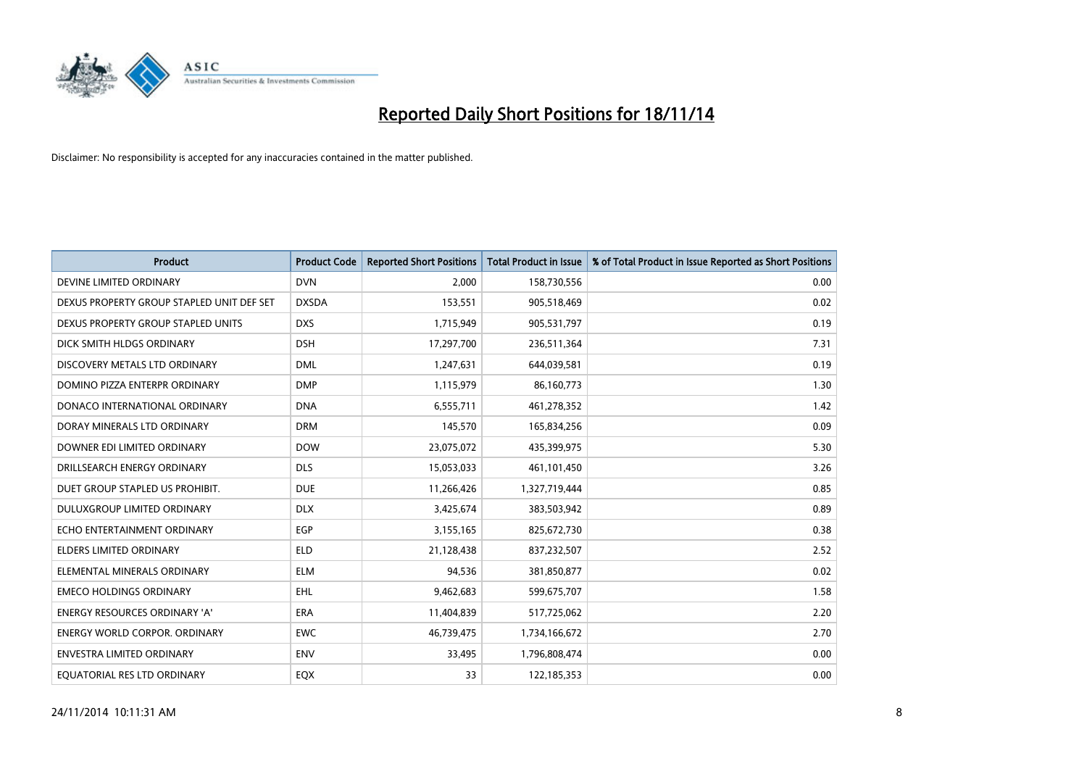

| <b>Product</b>                            | <b>Product Code</b> | <b>Reported Short Positions</b> | <b>Total Product in Issue</b> | % of Total Product in Issue Reported as Short Positions |
|-------------------------------------------|---------------------|---------------------------------|-------------------------------|---------------------------------------------------------|
| DEVINE LIMITED ORDINARY                   | <b>DVN</b>          | 2.000                           | 158,730,556                   | 0.00                                                    |
| DEXUS PROPERTY GROUP STAPLED UNIT DEF SET | <b>DXSDA</b>        | 153,551                         | 905,518,469                   | 0.02                                                    |
| DEXUS PROPERTY GROUP STAPLED UNITS        | <b>DXS</b>          | 1,715,949                       | 905,531,797                   | 0.19                                                    |
| DICK SMITH HLDGS ORDINARY                 | <b>DSH</b>          | 17,297,700                      | 236,511,364                   | 7.31                                                    |
| DISCOVERY METALS LTD ORDINARY             | <b>DML</b>          | 1,247,631                       | 644,039,581                   | 0.19                                                    |
| DOMINO PIZZA ENTERPR ORDINARY             | <b>DMP</b>          | 1,115,979                       | 86,160,773                    | 1.30                                                    |
| DONACO INTERNATIONAL ORDINARY             | <b>DNA</b>          | 6,555,711                       | 461,278,352                   | 1.42                                                    |
| DORAY MINERALS LTD ORDINARY               | <b>DRM</b>          | 145,570                         | 165,834,256                   | 0.09                                                    |
| DOWNER EDI LIMITED ORDINARY               | <b>DOW</b>          | 23,075,072                      | 435,399,975                   | 5.30                                                    |
| DRILLSEARCH ENERGY ORDINARY               | <b>DLS</b>          | 15,053,033                      | 461,101,450                   | 3.26                                                    |
| DUET GROUP STAPLED US PROHIBIT.           | <b>DUE</b>          | 11,266,426                      | 1,327,719,444                 | 0.85                                                    |
| DULUXGROUP LIMITED ORDINARY               | <b>DLX</b>          | 3,425,674                       | 383,503,942                   | 0.89                                                    |
| ECHO ENTERTAINMENT ORDINARY               | <b>EGP</b>          | 3,155,165                       | 825,672,730                   | 0.38                                                    |
| <b>ELDERS LIMITED ORDINARY</b>            | <b>ELD</b>          | 21,128,438                      | 837,232,507                   | 2.52                                                    |
| ELEMENTAL MINERALS ORDINARY               | <b>ELM</b>          | 94,536                          | 381,850,877                   | 0.02                                                    |
| <b>EMECO HOLDINGS ORDINARY</b>            | <b>EHL</b>          | 9,462,683                       | 599,675,707                   | 1.58                                                    |
| ENERGY RESOURCES ORDINARY 'A'             | ERA                 | 11,404,839                      | 517,725,062                   | 2.20                                                    |
| <b>ENERGY WORLD CORPOR. ORDINARY</b>      | <b>EWC</b>          | 46,739,475                      | 1,734,166,672                 | 2.70                                                    |
| <b>ENVESTRA LIMITED ORDINARY</b>          | <b>ENV</b>          | 33,495                          | 1,796,808,474                 | 0.00                                                    |
| EQUATORIAL RES LTD ORDINARY               | EQX                 | 33                              | 122,185,353                   | 0.00                                                    |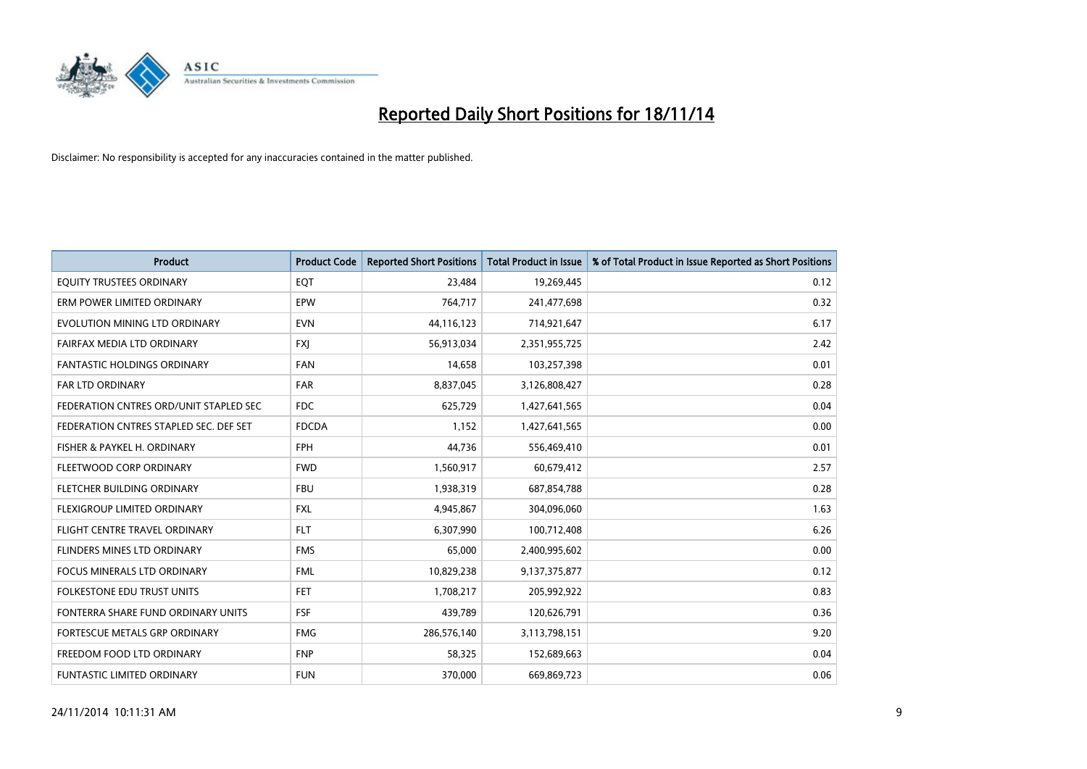

| <b>Product</b>                         | <b>Product Code</b> | <b>Reported Short Positions</b> | <b>Total Product in Issue</b> | % of Total Product in Issue Reported as Short Positions |
|----------------------------------------|---------------------|---------------------------------|-------------------------------|---------------------------------------------------------|
| EQUITY TRUSTEES ORDINARY               | EQT                 | 23,484                          | 19,269,445                    | 0.12                                                    |
| ERM POWER LIMITED ORDINARY             | EPW                 | 764,717                         | 241,477,698                   | 0.32                                                    |
| EVOLUTION MINING LTD ORDINARY          | <b>EVN</b>          | 44,116,123                      | 714,921,647                   | 6.17                                                    |
| FAIRFAX MEDIA LTD ORDINARY             | <b>FXI</b>          | 56,913,034                      | 2,351,955,725                 | 2.42                                                    |
| <b>FANTASTIC HOLDINGS ORDINARY</b>     | <b>FAN</b>          | 14,658                          | 103,257,398                   | 0.01                                                    |
| <b>FAR LTD ORDINARY</b>                | <b>FAR</b>          | 8,837,045                       | 3,126,808,427                 | 0.28                                                    |
| FEDERATION CNTRES ORD/UNIT STAPLED SEC | FDC                 | 625,729                         | 1,427,641,565                 | 0.04                                                    |
| FEDERATION CNTRES STAPLED SEC. DEF SET | <b>FDCDA</b>        | 1,152                           | 1,427,641,565                 | 0.00                                                    |
| FISHER & PAYKEL H. ORDINARY            | <b>FPH</b>          | 44,736                          | 556,469,410                   | 0.01                                                    |
| FLEETWOOD CORP ORDINARY                | <b>FWD</b>          | 1,560,917                       | 60,679,412                    | 2.57                                                    |
| FLETCHER BUILDING ORDINARY             | <b>FBU</b>          | 1,938,319                       | 687,854,788                   | 0.28                                                    |
| FLEXIGROUP LIMITED ORDINARY            | <b>FXL</b>          | 4,945,867                       | 304,096,060                   | 1.63                                                    |
| FLIGHT CENTRE TRAVEL ORDINARY          | <b>FLT</b>          | 6,307,990                       | 100,712,408                   | 6.26                                                    |
| FLINDERS MINES LTD ORDINARY            | <b>FMS</b>          | 65,000                          | 2,400,995,602                 | 0.00                                                    |
| <b>FOCUS MINERALS LTD ORDINARY</b>     | <b>FML</b>          | 10,829,238                      | 9,137,375,877                 | 0.12                                                    |
| <b>FOLKESTONE EDU TRUST UNITS</b>      | <b>FET</b>          | 1,708,217                       | 205,992,922                   | 0.83                                                    |
| FONTERRA SHARE FUND ORDINARY UNITS     | <b>FSF</b>          | 439,789                         | 120,626,791                   | 0.36                                                    |
| FORTESCUE METALS GRP ORDINARY          | <b>FMG</b>          | 286,576,140                     | 3,113,798,151                 | 9.20                                                    |
| FREEDOM FOOD LTD ORDINARY              | <b>FNP</b>          | 58,325                          | 152,689,663                   | 0.04                                                    |
| <b>FUNTASTIC LIMITED ORDINARY</b>      | <b>FUN</b>          | 370,000                         | 669,869,723                   | 0.06                                                    |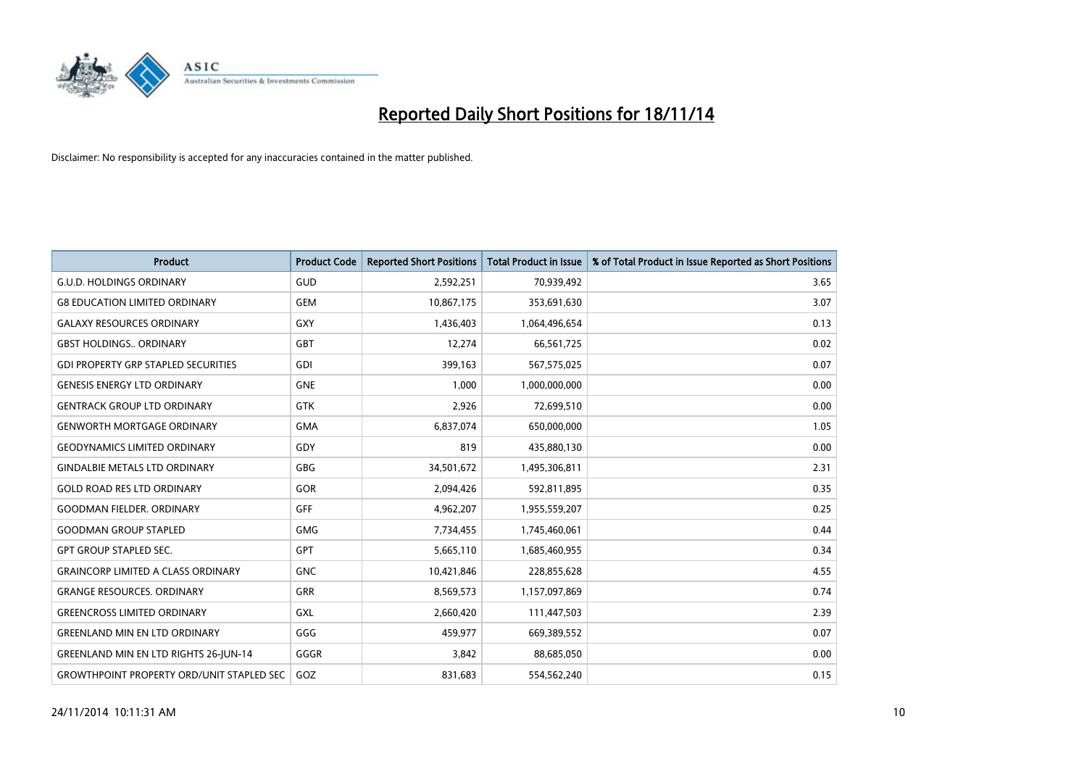

| <b>Product</b>                                   | <b>Product Code</b> | <b>Reported Short Positions</b> | <b>Total Product in Issue</b> | % of Total Product in Issue Reported as Short Positions |
|--------------------------------------------------|---------------------|---------------------------------|-------------------------------|---------------------------------------------------------|
| <b>G.U.D. HOLDINGS ORDINARY</b>                  | GUD                 | 2,592,251                       | 70,939,492                    | 3.65                                                    |
| <b>G8 EDUCATION LIMITED ORDINARY</b>             | <b>GEM</b>          | 10,867,175                      | 353,691,630                   | 3.07                                                    |
| <b>GALAXY RESOURCES ORDINARY</b>                 | <b>GXY</b>          | 1,436,403                       | 1,064,496,654                 | 0.13                                                    |
| <b>GBST HOLDINGS ORDINARY</b>                    | <b>GBT</b>          | 12,274                          | 66,561,725                    | 0.02                                                    |
| <b>GDI PROPERTY GRP STAPLED SECURITIES</b>       | GDI                 | 399,163                         | 567,575,025                   | 0.07                                                    |
| <b>GENESIS ENERGY LTD ORDINARY</b>               | <b>GNE</b>          | 1,000                           | 1,000,000,000                 | 0.00                                                    |
| <b>GENTRACK GROUP LTD ORDINARY</b>               | <b>GTK</b>          | 2,926                           | 72,699,510                    | 0.00                                                    |
| <b>GENWORTH MORTGAGE ORDINARY</b>                | <b>GMA</b>          | 6,837,074                       | 650,000,000                   | 1.05                                                    |
| <b>GEODYNAMICS LIMITED ORDINARY</b>              | GDY                 | 819                             | 435,880,130                   | 0.00                                                    |
| <b>GINDALBIE METALS LTD ORDINARY</b>             | GBG                 | 34,501,672                      | 1,495,306,811                 | 2.31                                                    |
| <b>GOLD ROAD RES LTD ORDINARY</b>                | GOR                 | 2,094,426                       | 592,811,895                   | 0.35                                                    |
| <b>GOODMAN FIELDER, ORDINARY</b>                 | <b>GFF</b>          | 4,962,207                       | 1,955,559,207                 | 0.25                                                    |
| <b>GOODMAN GROUP STAPLED</b>                     | <b>GMG</b>          | 7,734,455                       | 1,745,460,061                 | 0.44                                                    |
| <b>GPT GROUP STAPLED SEC.</b>                    | <b>GPT</b>          | 5,665,110                       | 1,685,460,955                 | 0.34                                                    |
| <b>GRAINCORP LIMITED A CLASS ORDINARY</b>        | <b>GNC</b>          | 10,421,846                      | 228,855,628                   | 4.55                                                    |
| <b>GRANGE RESOURCES. ORDINARY</b>                | GRR                 | 8,569,573                       | 1,157,097,869                 | 0.74                                                    |
| <b>GREENCROSS LIMITED ORDINARY</b>               | GXL                 | 2,660,420                       | 111,447,503                   | 2.39                                                    |
| <b>GREENLAND MIN EN LTD ORDINARY</b>             | GGG                 | 459,977                         | 669,389,552                   | 0.07                                                    |
| <b>GREENLAND MIN EN LTD RIGHTS 26-JUN-14</b>     | GGGR                | 3,842                           | 88,685,050                    | 0.00                                                    |
| <b>GROWTHPOINT PROPERTY ORD/UNIT STAPLED SEC</b> | GOZ                 | 831,683                         | 554,562,240                   | 0.15                                                    |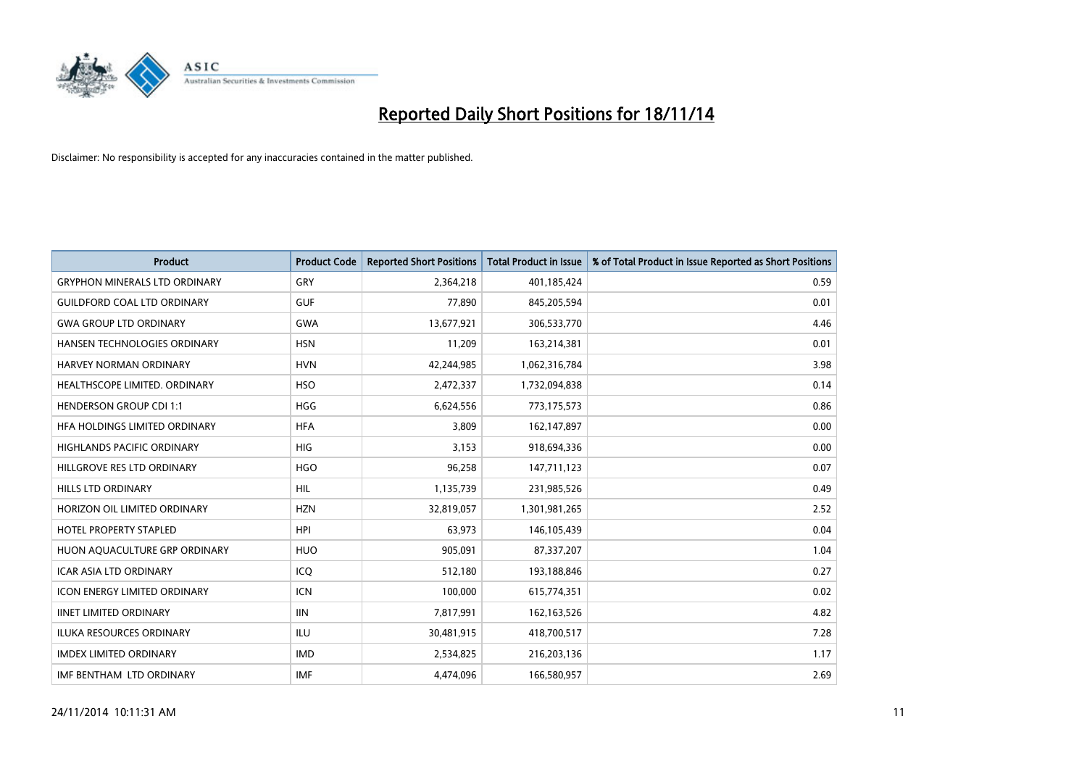

| <b>Product</b>                       | <b>Product Code</b> | <b>Reported Short Positions</b> | <b>Total Product in Issue</b> | % of Total Product in Issue Reported as Short Positions |
|--------------------------------------|---------------------|---------------------------------|-------------------------------|---------------------------------------------------------|
| <b>GRYPHON MINERALS LTD ORDINARY</b> | GRY                 | 2,364,218                       | 401,185,424                   | 0.59                                                    |
| <b>GUILDFORD COAL LTD ORDINARY</b>   | <b>GUF</b>          | 77,890                          | 845,205,594                   | 0.01                                                    |
| <b>GWA GROUP LTD ORDINARY</b>        | <b>GWA</b>          | 13,677,921                      | 306,533,770                   | 4.46                                                    |
| HANSEN TECHNOLOGIES ORDINARY         | <b>HSN</b>          | 11,209                          | 163,214,381                   | 0.01                                                    |
| HARVEY NORMAN ORDINARY               | <b>HVN</b>          | 42,244,985                      | 1,062,316,784                 | 3.98                                                    |
| HEALTHSCOPE LIMITED. ORDINARY        | <b>HSO</b>          | 2,472,337                       | 1,732,094,838                 | 0.14                                                    |
| <b>HENDERSON GROUP CDI 1:1</b>       | HGG                 | 6,624,556                       | 773,175,573                   | 0.86                                                    |
| <b>HFA HOLDINGS LIMITED ORDINARY</b> | <b>HFA</b>          | 3,809                           | 162,147,897                   | 0.00                                                    |
| <b>HIGHLANDS PACIFIC ORDINARY</b>    | <b>HIG</b>          | 3,153                           | 918,694,336                   | 0.00                                                    |
| HILLGROVE RES LTD ORDINARY           | <b>HGO</b>          | 96,258                          | 147,711,123                   | 0.07                                                    |
| <b>HILLS LTD ORDINARY</b>            | <b>HIL</b>          | 1,135,739                       | 231,985,526                   | 0.49                                                    |
| HORIZON OIL LIMITED ORDINARY         | <b>HZN</b>          | 32,819,057                      | 1,301,981,265                 | 2.52                                                    |
| <b>HOTEL PROPERTY STAPLED</b>        | <b>HPI</b>          | 63,973                          | 146, 105, 439                 | 0.04                                                    |
| HUON AQUACULTURE GRP ORDINARY        | <b>HUO</b>          | 905,091                         | 87,337,207                    | 1.04                                                    |
| <b>ICAR ASIA LTD ORDINARY</b>        | ICQ                 | 512,180                         | 193,188,846                   | 0.27                                                    |
| <b>ICON ENERGY LIMITED ORDINARY</b>  | <b>ICN</b>          | 100,000                         | 615,774,351                   | 0.02                                                    |
| <b>IINET LIMITED ORDINARY</b>        | <b>IIN</b>          | 7,817,991                       | 162,163,526                   | 4.82                                                    |
| ILUKA RESOURCES ORDINARY             | ILU                 | 30,481,915                      | 418,700,517                   | 7.28                                                    |
| <b>IMDEX LIMITED ORDINARY</b>        | <b>IMD</b>          | 2,534,825                       | 216,203,136                   | 1.17                                                    |
| IMF BENTHAM LTD ORDINARY             | <b>IMF</b>          | 4,474,096                       | 166,580,957                   | 2.69                                                    |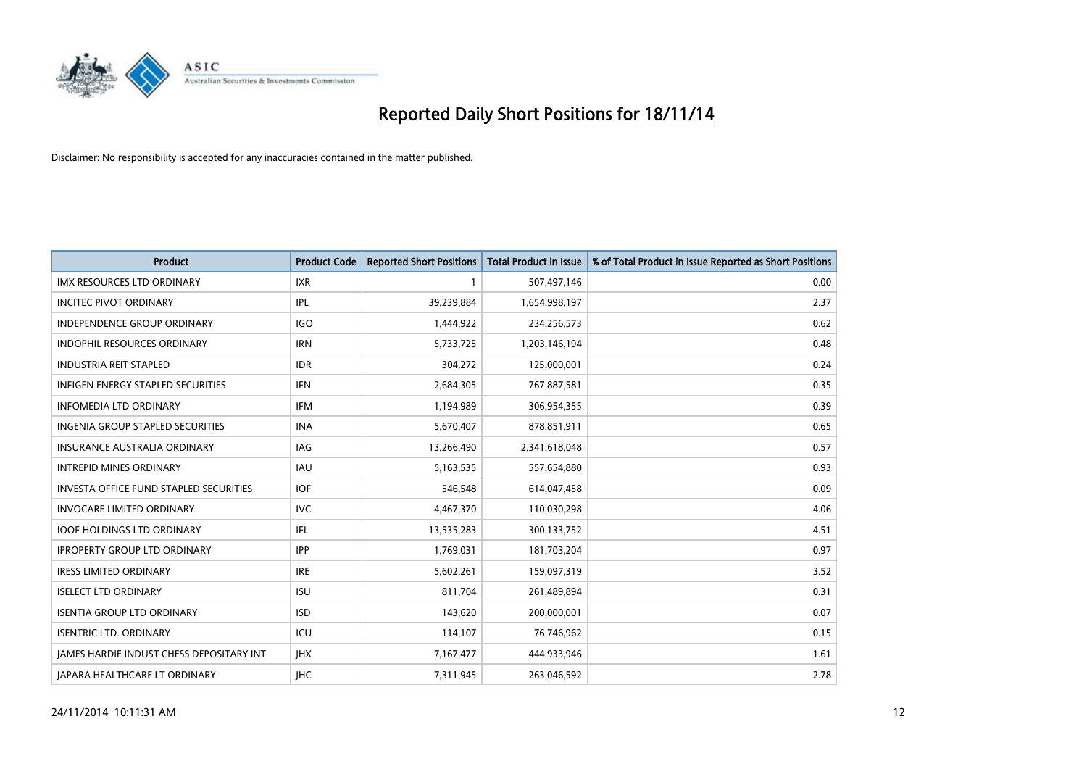

| <b>Product</b>                                  | <b>Product Code</b> | <b>Reported Short Positions</b> | <b>Total Product in Issue</b> | % of Total Product in Issue Reported as Short Positions |
|-------------------------------------------------|---------------------|---------------------------------|-------------------------------|---------------------------------------------------------|
| IMX RESOURCES LTD ORDINARY                      | <b>IXR</b>          | 1                               | 507,497,146                   | 0.00                                                    |
| <b>INCITEC PIVOT ORDINARY</b>                   | IPL                 | 39,239,884                      | 1,654,998,197                 | 2.37                                                    |
| <b>INDEPENDENCE GROUP ORDINARY</b>              | <b>IGO</b>          | 1,444,922                       | 234,256,573                   | 0.62                                                    |
| INDOPHIL RESOURCES ORDINARY                     | <b>IRN</b>          | 5,733,725                       | 1,203,146,194                 | 0.48                                                    |
| <b>INDUSTRIA REIT STAPLED</b>                   | <b>IDR</b>          | 304,272                         | 125,000,001                   | 0.24                                                    |
| <b>INFIGEN ENERGY STAPLED SECURITIES</b>        | <b>IFN</b>          | 2,684,305                       | 767,887,581                   | 0.35                                                    |
| <b>INFOMEDIA LTD ORDINARY</b>                   | <b>IFM</b>          | 1,194,989                       | 306,954,355                   | 0.39                                                    |
| <b>INGENIA GROUP STAPLED SECURITIES</b>         | <b>INA</b>          | 5,670,407                       | 878,851,911                   | 0.65                                                    |
| <b>INSURANCE AUSTRALIA ORDINARY</b>             | IAG                 | 13,266,490                      | 2,341,618,048                 | 0.57                                                    |
| <b>INTREPID MINES ORDINARY</b>                  | <b>IAU</b>          | 5,163,535                       | 557,654,880                   | 0.93                                                    |
| <b>INVESTA OFFICE FUND STAPLED SECURITIES</b>   | <b>IOF</b>          | 546,548                         | 614,047,458                   | 0.09                                                    |
| <b>INVOCARE LIMITED ORDINARY</b>                | <b>IVC</b>          | 4,467,370                       | 110,030,298                   | 4.06                                                    |
| <b>IOOF HOLDINGS LTD ORDINARY</b>               | IFL                 | 13,535,283                      | 300,133,752                   | 4.51                                                    |
| <b>IPROPERTY GROUP LTD ORDINARY</b>             | <b>IPP</b>          | 1,769,031                       | 181,703,204                   | 0.97                                                    |
| <b>IRESS LIMITED ORDINARY</b>                   | <b>IRE</b>          | 5,602,261                       | 159,097,319                   | 3.52                                                    |
| <b>ISELECT LTD ORDINARY</b>                     | <b>ISU</b>          | 811,704                         | 261,489,894                   | 0.31                                                    |
| <b>ISENTIA GROUP LTD ORDINARY</b>               | <b>ISD</b>          | 143,620                         | 200,000,001                   | 0.07                                                    |
| <b>ISENTRIC LTD. ORDINARY</b>                   | ICU                 | 114,107                         | 76,746,962                    | 0.15                                                    |
| <b>IAMES HARDIE INDUST CHESS DEPOSITARY INT</b> | <b>IHX</b>          | 7,167,477                       | 444,933,946                   | 1.61                                                    |
| JAPARA HEALTHCARE LT ORDINARY                   | <b>IHC</b>          | 7,311,945                       | 263,046,592                   | 2.78                                                    |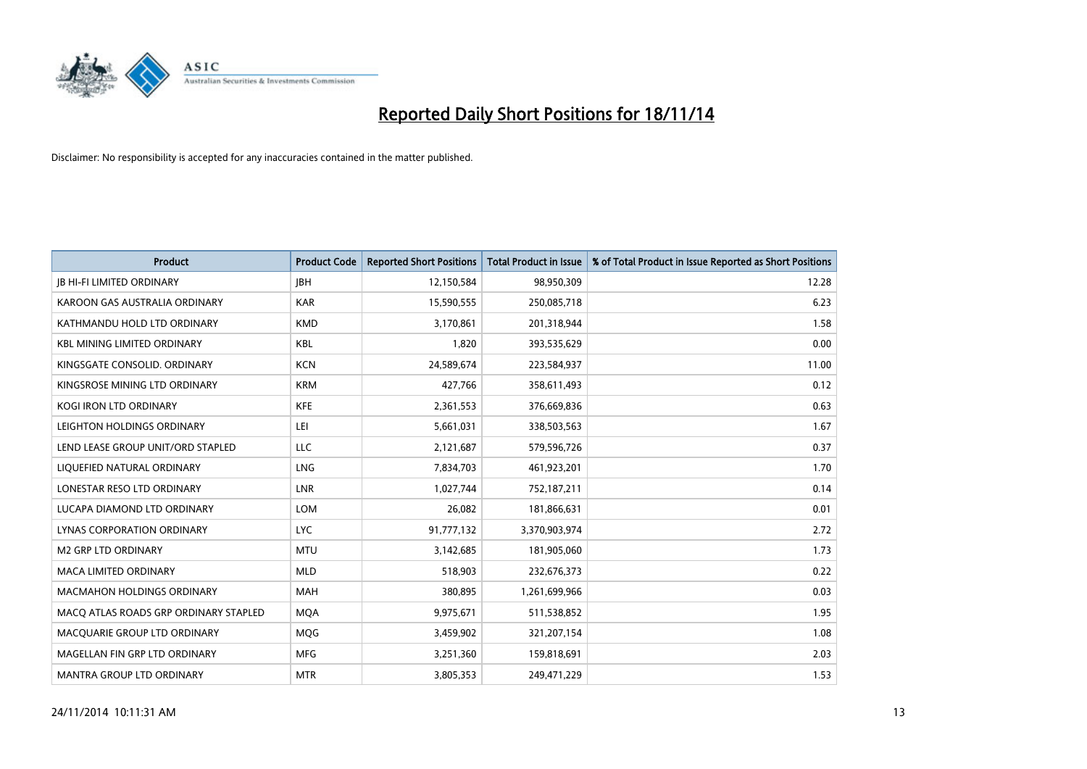

| Product                               | <b>Product Code</b> | <b>Reported Short Positions</b> | <b>Total Product in Issue</b> | % of Total Product in Issue Reported as Short Positions |
|---------------------------------------|---------------------|---------------------------------|-------------------------------|---------------------------------------------------------|
| <b>JB HI-FI LIMITED ORDINARY</b>      | <b>JBH</b>          | 12,150,584                      | 98,950,309                    | 12.28                                                   |
| KAROON GAS AUSTRALIA ORDINARY         | <b>KAR</b>          | 15,590,555                      | 250,085,718                   | 6.23                                                    |
| KATHMANDU HOLD LTD ORDINARY           | <b>KMD</b>          | 3,170,861                       | 201,318,944                   | 1.58                                                    |
| <b>KBL MINING LIMITED ORDINARY</b>    | <b>KBL</b>          | 1,820                           | 393,535,629                   | 0.00                                                    |
| KINGSGATE CONSOLID, ORDINARY          | <b>KCN</b>          | 24,589,674                      | 223,584,937                   | 11.00                                                   |
| KINGSROSE MINING LTD ORDINARY         | <b>KRM</b>          | 427,766                         | 358,611,493                   | 0.12                                                    |
| <b>KOGI IRON LTD ORDINARY</b>         | <b>KFE</b>          | 2,361,553                       | 376,669,836                   | 0.63                                                    |
| LEIGHTON HOLDINGS ORDINARY            | LEI                 | 5,661,031                       | 338,503,563                   | 1.67                                                    |
| LEND LEASE GROUP UNIT/ORD STAPLED     | <b>LLC</b>          | 2,121,687                       | 579,596,726                   | 0.37                                                    |
| LIQUEFIED NATURAL ORDINARY            | LNG                 | 7,834,703                       | 461,923,201                   | 1.70                                                    |
| LONESTAR RESO LTD ORDINARY            | <b>LNR</b>          | 1,027,744                       | 752,187,211                   | 0.14                                                    |
| LUCAPA DIAMOND LTD ORDINARY           | LOM                 | 26,082                          | 181,866,631                   | 0.01                                                    |
| LYNAS CORPORATION ORDINARY            | <b>LYC</b>          | 91,777,132                      | 3,370,903,974                 | 2.72                                                    |
| <b>M2 GRP LTD ORDINARY</b>            | <b>MTU</b>          | 3,142,685                       | 181,905,060                   | 1.73                                                    |
| MACA LIMITED ORDINARY                 | <b>MLD</b>          | 518,903                         | 232,676,373                   | 0.22                                                    |
| MACMAHON HOLDINGS ORDINARY            | MAH                 | 380,895                         | 1,261,699,966                 | 0.03                                                    |
| MACO ATLAS ROADS GRP ORDINARY STAPLED | <b>MQA</b>          | 9,975,671                       | 511,538,852                   | 1.95                                                    |
| MACQUARIE GROUP LTD ORDINARY          | <b>MOG</b>          | 3,459,902                       | 321,207,154                   | 1.08                                                    |
| MAGELLAN FIN GRP LTD ORDINARY         | <b>MFG</b>          | 3,251,360                       | 159,818,691                   | 2.03                                                    |
| MANTRA GROUP LTD ORDINARY             | <b>MTR</b>          | 3,805,353                       | 249,471,229                   | 1.53                                                    |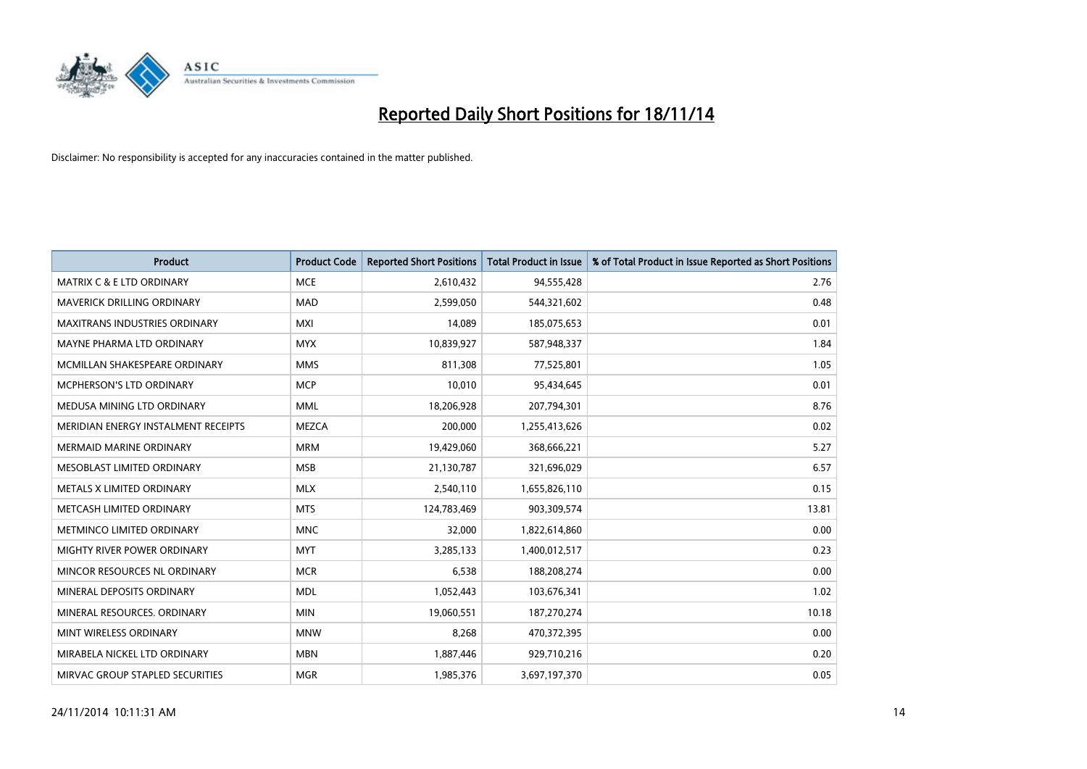

| <b>Product</b>                       | <b>Product Code</b> | <b>Reported Short Positions</b> | <b>Total Product in Issue</b> | % of Total Product in Issue Reported as Short Positions |
|--------------------------------------|---------------------|---------------------------------|-------------------------------|---------------------------------------------------------|
| <b>MATRIX C &amp; E LTD ORDINARY</b> | <b>MCE</b>          | 2,610,432                       | 94,555,428                    | 2.76                                                    |
| <b>MAVERICK DRILLING ORDINARY</b>    | <b>MAD</b>          | 2,599,050                       | 544,321,602                   | 0.48                                                    |
| <b>MAXITRANS INDUSTRIES ORDINARY</b> | <b>MXI</b>          | 14,089                          | 185,075,653                   | 0.01                                                    |
| MAYNE PHARMA LTD ORDINARY            | <b>MYX</b>          | 10,839,927                      | 587,948,337                   | 1.84                                                    |
| MCMILLAN SHAKESPEARE ORDINARY        | <b>MMS</b>          | 811,308                         | 77,525,801                    | 1.05                                                    |
| MCPHERSON'S LTD ORDINARY             | <b>MCP</b>          | 10,010                          | 95,434,645                    | 0.01                                                    |
| MEDUSA MINING LTD ORDINARY           | <b>MML</b>          | 18,206,928                      | 207,794,301                   | 8.76                                                    |
| MERIDIAN ENERGY INSTALMENT RECEIPTS  | <b>MEZCA</b>        | 200,000                         | 1,255,413,626                 | 0.02                                                    |
| <b>MERMAID MARINE ORDINARY</b>       | <b>MRM</b>          | 19,429,060                      | 368,666,221                   | 5.27                                                    |
| MESOBLAST LIMITED ORDINARY           | <b>MSB</b>          | 21,130,787                      | 321,696,029                   | 6.57                                                    |
| METALS X LIMITED ORDINARY            | <b>MLX</b>          | 2,540,110                       | 1,655,826,110                 | 0.15                                                    |
| METCASH LIMITED ORDINARY             | <b>MTS</b>          | 124,783,469                     | 903,309,574                   | 13.81                                                   |
| METMINCO LIMITED ORDINARY            | <b>MNC</b>          | 32,000                          | 1,822,614,860                 | 0.00                                                    |
| <b>MIGHTY RIVER POWER ORDINARY</b>   | <b>MYT</b>          | 3,285,133                       | 1,400,012,517                 | 0.23                                                    |
| MINCOR RESOURCES NL ORDINARY         | <b>MCR</b>          | 6,538                           | 188,208,274                   | 0.00                                                    |
| MINERAL DEPOSITS ORDINARY            | <b>MDL</b>          | 1,052,443                       | 103,676,341                   | 1.02                                                    |
| MINERAL RESOURCES. ORDINARY          | <b>MIN</b>          | 19,060,551                      | 187,270,274                   | 10.18                                                   |
| MINT WIRELESS ORDINARY               | <b>MNW</b>          | 8,268                           | 470,372,395                   | 0.00                                                    |
| MIRABELA NICKEL LTD ORDINARY         | <b>MBN</b>          | 1,887,446                       | 929,710,216                   | 0.20                                                    |
| MIRVAC GROUP STAPLED SECURITIES      | <b>MGR</b>          | 1,985,376                       | 3,697,197,370                 | 0.05                                                    |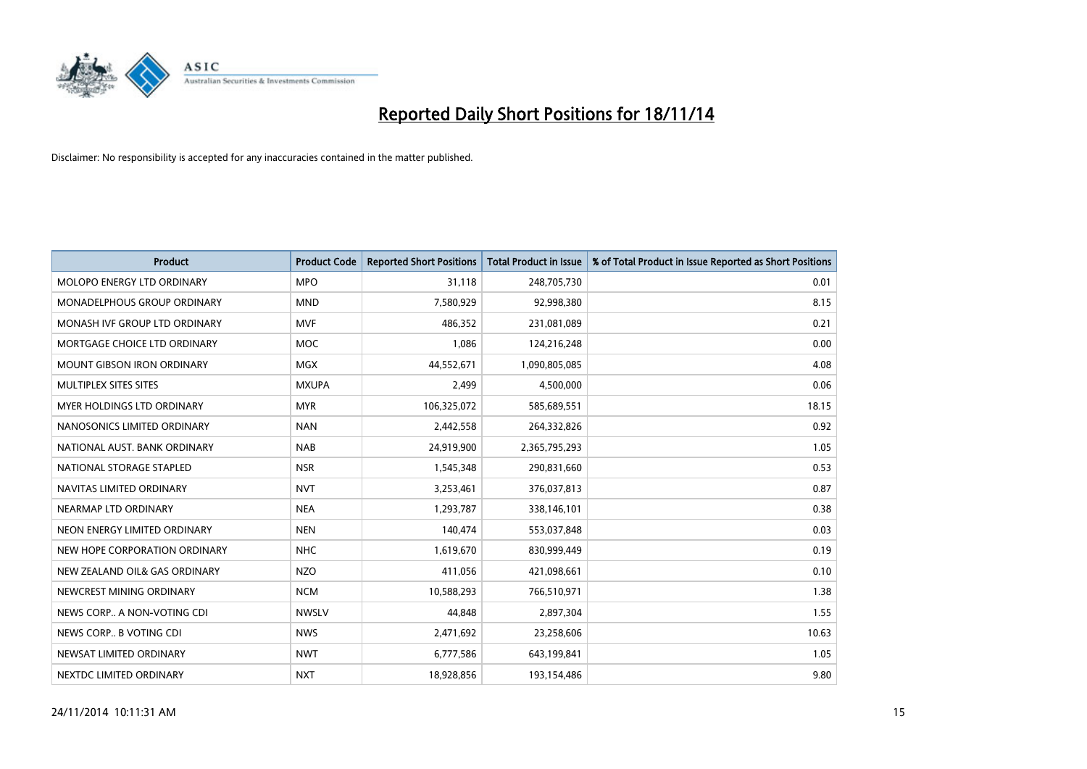

| <b>Product</b>                    | <b>Product Code</b> | <b>Reported Short Positions</b> | <b>Total Product in Issue</b> | % of Total Product in Issue Reported as Short Positions |
|-----------------------------------|---------------------|---------------------------------|-------------------------------|---------------------------------------------------------|
| MOLOPO ENERGY LTD ORDINARY        | <b>MPO</b>          | 31,118                          | 248,705,730                   | 0.01                                                    |
| MONADELPHOUS GROUP ORDINARY       | <b>MND</b>          | 7,580,929                       | 92,998,380                    | 8.15                                                    |
| MONASH IVF GROUP LTD ORDINARY     | <b>MVF</b>          | 486,352                         | 231,081,089                   | 0.21                                                    |
| MORTGAGE CHOICE LTD ORDINARY      | <b>MOC</b>          | 1,086                           | 124,216,248                   | 0.00                                                    |
| <b>MOUNT GIBSON IRON ORDINARY</b> | <b>MGX</b>          | 44,552,671                      | 1,090,805,085                 | 4.08                                                    |
| MULTIPLEX SITES SITES             | <b>MXUPA</b>        | 2,499                           | 4,500,000                     | 0.06                                                    |
| MYER HOLDINGS LTD ORDINARY        | <b>MYR</b>          | 106,325,072                     | 585,689,551                   | 18.15                                                   |
| NANOSONICS LIMITED ORDINARY       | <b>NAN</b>          | 2,442,558                       | 264,332,826                   | 0.92                                                    |
| NATIONAL AUST, BANK ORDINARY      | <b>NAB</b>          | 24,919,900                      | 2,365,795,293                 | 1.05                                                    |
| NATIONAL STORAGE STAPLED          | <b>NSR</b>          | 1,545,348                       | 290,831,660                   | 0.53                                                    |
| NAVITAS LIMITED ORDINARY          | <b>NVT</b>          | 3,253,461                       | 376,037,813                   | 0.87                                                    |
| NEARMAP LTD ORDINARY              | <b>NEA</b>          | 1,293,787                       | 338,146,101                   | 0.38                                                    |
| NEON ENERGY LIMITED ORDINARY      | <b>NEN</b>          | 140,474                         | 553,037,848                   | 0.03                                                    |
| NEW HOPE CORPORATION ORDINARY     | <b>NHC</b>          | 1,619,670                       | 830,999,449                   | 0.19                                                    |
| NEW ZEALAND OIL& GAS ORDINARY     | <b>NZO</b>          | 411,056                         | 421,098,661                   | 0.10                                                    |
| NEWCREST MINING ORDINARY          | <b>NCM</b>          | 10,588,293                      | 766,510,971                   | 1.38                                                    |
| NEWS CORP A NON-VOTING CDI        | <b>NWSLV</b>        | 44,848                          | 2,897,304                     | 1.55                                                    |
| NEWS CORP B VOTING CDI            | <b>NWS</b>          | 2,471,692                       | 23,258,606                    | 10.63                                                   |
| NEWSAT LIMITED ORDINARY           | <b>NWT</b>          | 6,777,586                       | 643,199,841                   | 1.05                                                    |
| NEXTDC LIMITED ORDINARY           | <b>NXT</b>          | 18,928,856                      | 193,154,486                   | 9.80                                                    |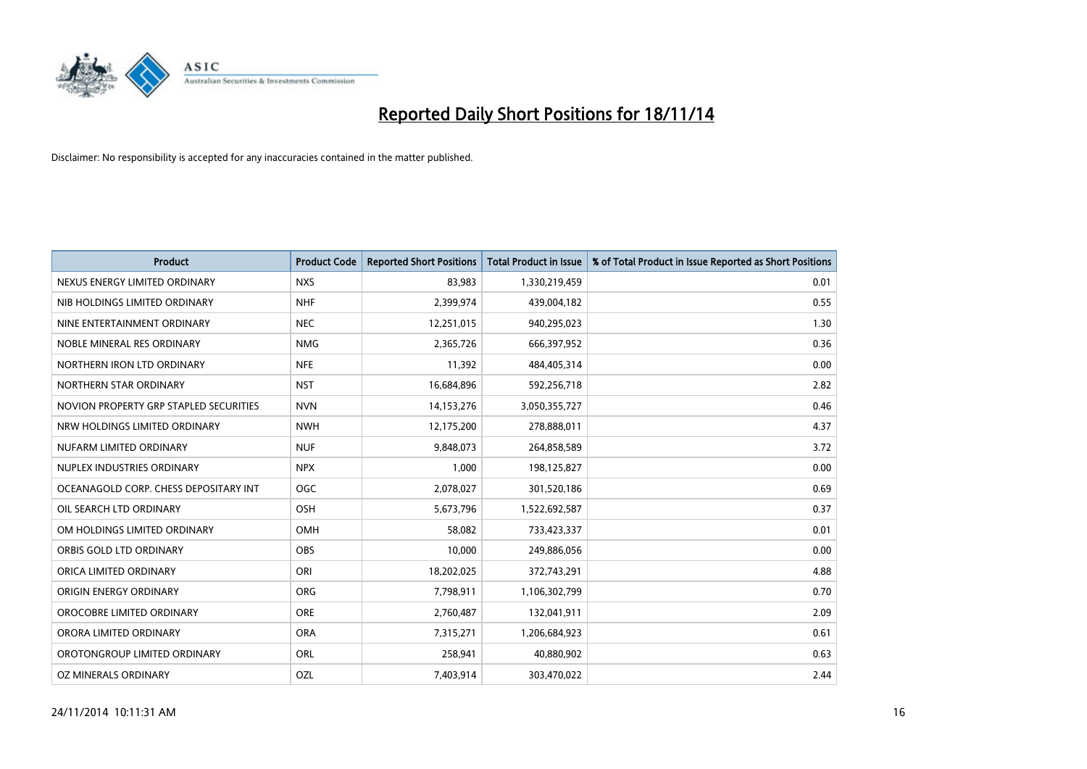

| <b>Product</b>                         | <b>Product Code</b> | <b>Reported Short Positions</b> | <b>Total Product in Issue</b> | % of Total Product in Issue Reported as Short Positions |
|----------------------------------------|---------------------|---------------------------------|-------------------------------|---------------------------------------------------------|
| NEXUS ENERGY LIMITED ORDINARY          | <b>NXS</b>          | 83,983                          | 1,330,219,459                 | 0.01                                                    |
| NIB HOLDINGS LIMITED ORDINARY          | <b>NHF</b>          | 2,399,974                       | 439,004,182                   | 0.55                                                    |
| NINE ENTERTAINMENT ORDINARY            | <b>NEC</b>          | 12,251,015                      | 940,295,023                   | 1.30                                                    |
| NOBLE MINERAL RES ORDINARY             | <b>NMG</b>          | 2,365,726                       | 666,397,952                   | 0.36                                                    |
| NORTHERN IRON LTD ORDINARY             | <b>NFE</b>          | 11,392                          | 484,405,314                   | 0.00                                                    |
| NORTHERN STAR ORDINARY                 | <b>NST</b>          | 16,684,896                      | 592,256,718                   | 2.82                                                    |
| NOVION PROPERTY GRP STAPLED SECURITIES | <b>NVN</b>          | 14, 153, 276                    | 3,050,355,727                 | 0.46                                                    |
| NRW HOLDINGS LIMITED ORDINARY          | <b>NWH</b>          | 12,175,200                      | 278,888,011                   | 4.37                                                    |
| NUFARM LIMITED ORDINARY                | <b>NUF</b>          | 9,848,073                       | 264,858,589                   | 3.72                                                    |
| NUPLEX INDUSTRIES ORDINARY             | <b>NPX</b>          | 1,000                           | 198,125,827                   | 0.00                                                    |
| OCEANAGOLD CORP. CHESS DEPOSITARY INT  | <b>OGC</b>          | 2,078,027                       | 301,520,186                   | 0.69                                                    |
| OIL SEARCH LTD ORDINARY                | OSH                 | 5,673,796                       | 1,522,692,587                 | 0.37                                                    |
| OM HOLDINGS LIMITED ORDINARY           | OMH                 | 58,082                          | 733,423,337                   | 0.01                                                    |
| ORBIS GOLD LTD ORDINARY                | <b>OBS</b>          | 10,000                          | 249,886,056                   | 0.00                                                    |
| ORICA LIMITED ORDINARY                 | ORI                 | 18,202,025                      | 372,743,291                   | 4.88                                                    |
| ORIGIN ENERGY ORDINARY                 | ORG                 | 7,798,911                       | 1,106,302,799                 | 0.70                                                    |
| OROCOBRE LIMITED ORDINARY              | <b>ORE</b>          | 2,760,487                       | 132,041,911                   | 2.09                                                    |
| ORORA LIMITED ORDINARY                 | <b>ORA</b>          | 7,315,271                       | 1,206,684,923                 | 0.61                                                    |
| OROTONGROUP LIMITED ORDINARY           | ORL                 | 258,941                         | 40,880,902                    | 0.63                                                    |
| OZ MINERALS ORDINARY                   | OZL                 | 7,403,914                       | 303,470,022                   | 2.44                                                    |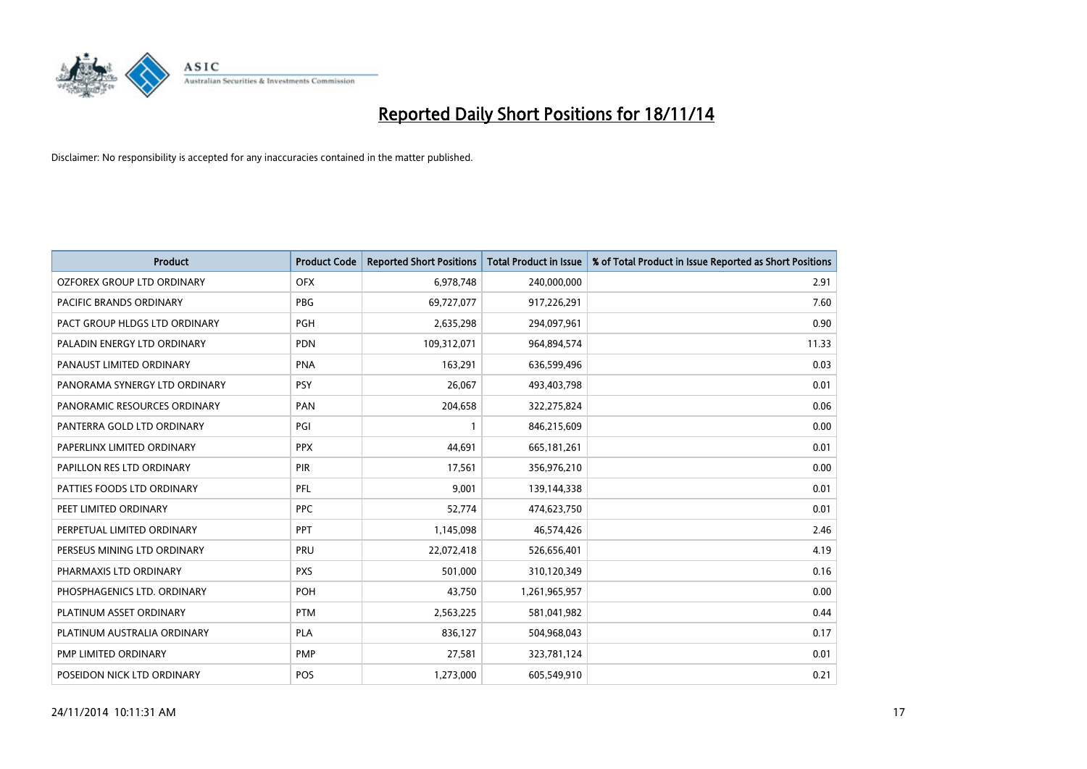

| <b>Product</b>                | <b>Product Code</b> | <b>Reported Short Positions</b> | <b>Total Product in Issue</b> | % of Total Product in Issue Reported as Short Positions |
|-------------------------------|---------------------|---------------------------------|-------------------------------|---------------------------------------------------------|
| OZFOREX GROUP LTD ORDINARY    | <b>OFX</b>          | 6,978,748                       | 240,000,000                   | 2.91                                                    |
| PACIFIC BRANDS ORDINARY       | <b>PBG</b>          | 69,727,077                      | 917,226,291                   | 7.60                                                    |
| PACT GROUP HLDGS LTD ORDINARY | <b>PGH</b>          | 2,635,298                       | 294,097,961                   | 0.90                                                    |
| PALADIN ENERGY LTD ORDINARY   | <b>PDN</b>          | 109,312,071                     | 964,894,574                   | 11.33                                                   |
| PANAUST LIMITED ORDINARY      | <b>PNA</b>          | 163,291                         | 636,599,496                   | 0.03                                                    |
| PANORAMA SYNERGY LTD ORDINARY | <b>PSY</b>          | 26,067                          | 493,403,798                   | 0.01                                                    |
| PANORAMIC RESOURCES ORDINARY  | PAN                 | 204,658                         | 322,275,824                   | 0.06                                                    |
| PANTERRA GOLD LTD ORDINARY    | PGI                 | $\mathbf{1}$                    | 846,215,609                   | 0.00                                                    |
| PAPERLINX LIMITED ORDINARY    | <b>PPX</b>          | 44,691                          | 665, 181, 261                 | 0.01                                                    |
| PAPILLON RES LTD ORDINARY     | PIR                 | 17,561                          | 356,976,210                   | 0.00                                                    |
| PATTIES FOODS LTD ORDINARY    | PFL                 | 9,001                           | 139,144,338                   | 0.01                                                    |
| PEET LIMITED ORDINARY         | <b>PPC</b>          | 52,774                          | 474,623,750                   | 0.01                                                    |
| PERPETUAL LIMITED ORDINARY    | <b>PPT</b>          | 1,145,098                       | 46,574,426                    | 2.46                                                    |
| PERSEUS MINING LTD ORDINARY   | PRU                 | 22,072,418                      | 526,656,401                   | 4.19                                                    |
| PHARMAXIS LTD ORDINARY        | <b>PXS</b>          | 501,000                         | 310,120,349                   | 0.16                                                    |
| PHOSPHAGENICS LTD. ORDINARY   | POH                 | 43,750                          | 1,261,965,957                 | 0.00                                                    |
| PLATINUM ASSET ORDINARY       | <b>PTM</b>          | 2,563,225                       | 581,041,982                   | 0.44                                                    |
| PLATINUM AUSTRALIA ORDINARY   | <b>PLA</b>          | 836,127                         | 504,968,043                   | 0.17                                                    |
| PMP LIMITED ORDINARY          | <b>PMP</b>          | 27,581                          | 323,781,124                   | 0.01                                                    |
| POSEIDON NICK LTD ORDINARY    | <b>POS</b>          | 1,273,000                       | 605,549,910                   | 0.21                                                    |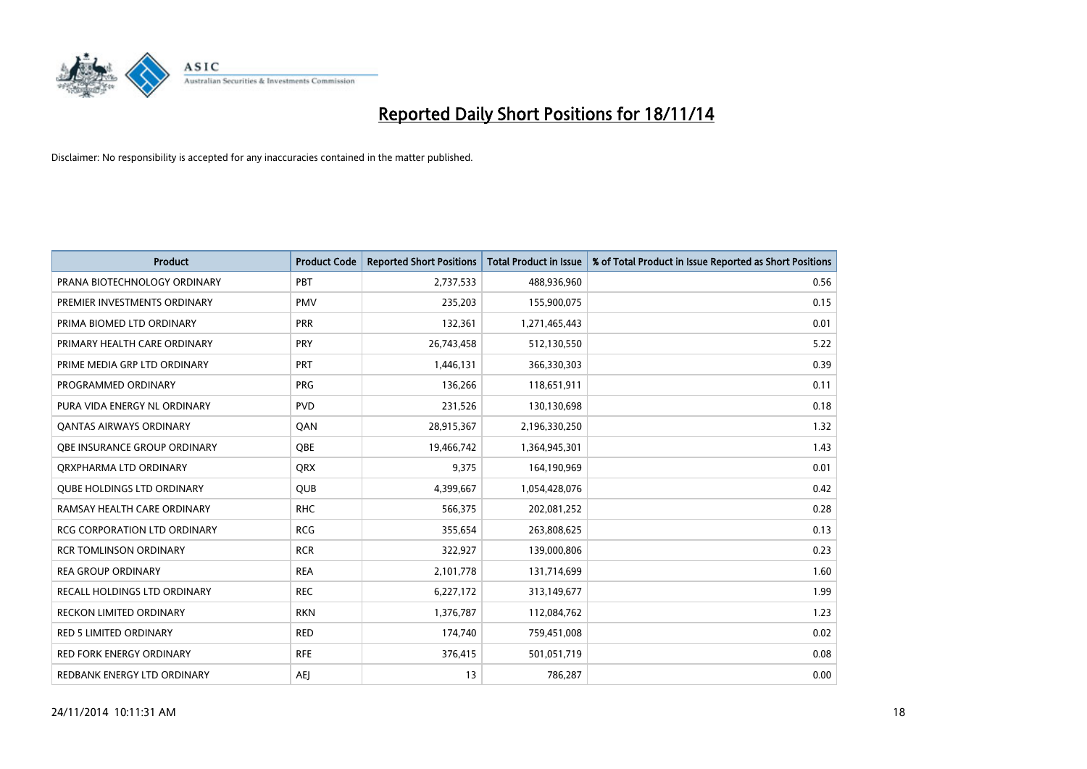

| <b>Product</b>                      | <b>Product Code</b> | <b>Reported Short Positions</b> | <b>Total Product in Issue</b> | % of Total Product in Issue Reported as Short Positions |
|-------------------------------------|---------------------|---------------------------------|-------------------------------|---------------------------------------------------------|
| PRANA BIOTECHNOLOGY ORDINARY        | PBT                 | 2,737,533                       | 488,936,960                   | 0.56                                                    |
| PREMIER INVESTMENTS ORDINARY        | <b>PMV</b>          | 235,203                         | 155,900,075                   | 0.15                                                    |
| PRIMA BIOMED LTD ORDINARY           | <b>PRR</b>          | 132,361                         | 1,271,465,443                 | 0.01                                                    |
| PRIMARY HEALTH CARE ORDINARY        | <b>PRY</b>          | 26,743,458                      | 512,130,550                   | 5.22                                                    |
| PRIME MEDIA GRP LTD ORDINARY        | <b>PRT</b>          | 1,446,131                       | 366,330,303                   | 0.39                                                    |
| PROGRAMMED ORDINARY                 | <b>PRG</b>          | 136,266                         | 118,651,911                   | 0.11                                                    |
| PURA VIDA ENERGY NL ORDINARY        | <b>PVD</b>          | 231,526                         | 130,130,698                   | 0.18                                                    |
| <b>QANTAS AIRWAYS ORDINARY</b>      | QAN                 | 28,915,367                      | 2,196,330,250                 | 1.32                                                    |
| OBE INSURANCE GROUP ORDINARY        | <b>OBE</b>          | 19,466,742                      | 1,364,945,301                 | 1.43                                                    |
| ORXPHARMA LTD ORDINARY              | <b>QRX</b>          | 9,375                           | 164,190,969                   | 0.01                                                    |
| <b>QUBE HOLDINGS LTD ORDINARY</b>   | QUB                 | 4,399,667                       | 1,054,428,076                 | 0.42                                                    |
| RAMSAY HEALTH CARE ORDINARY         | <b>RHC</b>          | 566,375                         | 202,081,252                   | 0.28                                                    |
| <b>RCG CORPORATION LTD ORDINARY</b> | <b>RCG</b>          | 355,654                         | 263,808,625                   | 0.13                                                    |
| <b>RCR TOMLINSON ORDINARY</b>       | <b>RCR</b>          | 322,927                         | 139,000,806                   | 0.23                                                    |
| <b>REA GROUP ORDINARY</b>           | <b>REA</b>          | 2,101,778                       | 131,714,699                   | 1.60                                                    |
| <b>RECALL HOLDINGS LTD ORDINARY</b> | <b>REC</b>          | 6,227,172                       | 313,149,677                   | 1.99                                                    |
| RECKON LIMITED ORDINARY             | <b>RKN</b>          | 1,376,787                       | 112,084,762                   | 1.23                                                    |
| RED 5 LIMITED ORDINARY              | <b>RED</b>          | 174,740                         | 759,451,008                   | 0.02                                                    |
| <b>RED FORK ENERGY ORDINARY</b>     | <b>RFE</b>          | 376,415                         | 501,051,719                   | 0.08                                                    |
| REDBANK ENERGY LTD ORDINARY         | <b>AEJ</b>          | 13                              | 786,287                       | 0.00                                                    |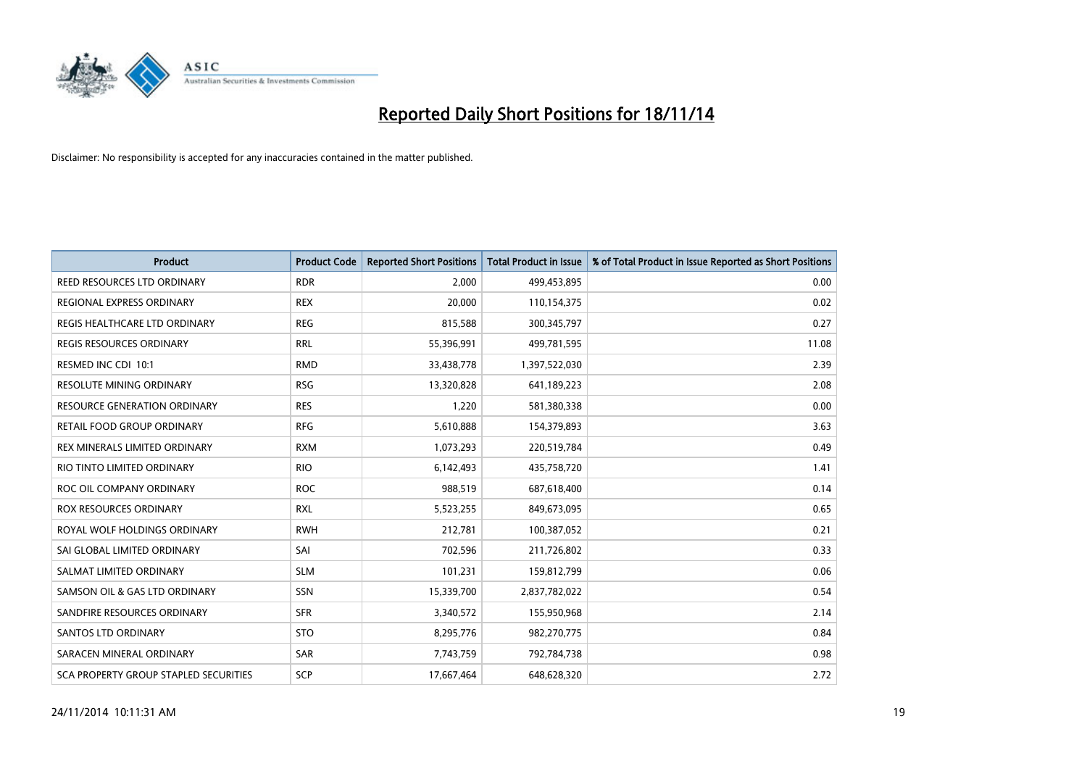

| <b>Product</b>                               | <b>Product Code</b> | <b>Reported Short Positions</b> | <b>Total Product in Issue</b> | % of Total Product in Issue Reported as Short Positions |
|----------------------------------------------|---------------------|---------------------------------|-------------------------------|---------------------------------------------------------|
| REED RESOURCES LTD ORDINARY                  | <b>RDR</b>          | 2,000                           | 499,453,895                   | 0.00                                                    |
| REGIONAL EXPRESS ORDINARY                    | <b>REX</b>          | 20,000                          | 110,154,375                   | 0.02                                                    |
| REGIS HEALTHCARE LTD ORDINARY                | <b>REG</b>          | 815,588                         | 300,345,797                   | 0.27                                                    |
| REGIS RESOURCES ORDINARY                     | <b>RRL</b>          | 55,396,991                      | 499,781,595                   | 11.08                                                   |
| RESMED INC CDI 10:1                          | <b>RMD</b>          | 33,438,778                      | 1,397,522,030                 | 2.39                                                    |
| RESOLUTE MINING ORDINARY                     | <b>RSG</b>          | 13,320,828                      | 641,189,223                   | 2.08                                                    |
| <b>RESOURCE GENERATION ORDINARY</b>          | <b>RES</b>          | 1,220                           | 581,380,338                   | 0.00                                                    |
| RETAIL FOOD GROUP ORDINARY                   | <b>RFG</b>          | 5,610,888                       | 154,379,893                   | 3.63                                                    |
| REX MINERALS LIMITED ORDINARY                | <b>RXM</b>          | 1,073,293                       | 220,519,784                   | 0.49                                                    |
| RIO TINTO LIMITED ORDINARY                   | <b>RIO</b>          | 6,142,493                       | 435,758,720                   | 1.41                                                    |
| ROC OIL COMPANY ORDINARY                     | <b>ROC</b>          | 988,519                         | 687,618,400                   | 0.14                                                    |
| <b>ROX RESOURCES ORDINARY</b>                | RXL                 | 5,523,255                       | 849,673,095                   | 0.65                                                    |
| ROYAL WOLF HOLDINGS ORDINARY                 | <b>RWH</b>          | 212,781                         | 100,387,052                   | 0.21                                                    |
| SAI GLOBAL LIMITED ORDINARY                  | SAI                 | 702,596                         | 211,726,802                   | 0.33                                                    |
| SALMAT LIMITED ORDINARY                      | <b>SLM</b>          | 101,231                         | 159,812,799                   | 0.06                                                    |
| SAMSON OIL & GAS LTD ORDINARY                | SSN                 | 15,339,700                      | 2,837,782,022                 | 0.54                                                    |
| SANDFIRE RESOURCES ORDINARY                  | <b>SFR</b>          | 3,340,572                       | 155,950,968                   | 2.14                                                    |
| SANTOS LTD ORDINARY                          | <b>STO</b>          | 8,295,776                       | 982,270,775                   | 0.84                                                    |
| SARACEN MINERAL ORDINARY                     | SAR                 | 7,743,759                       | 792,784,738                   | 0.98                                                    |
| <b>SCA PROPERTY GROUP STAPLED SECURITIES</b> | SCP                 | 17,667,464                      | 648,628,320                   | 2.72                                                    |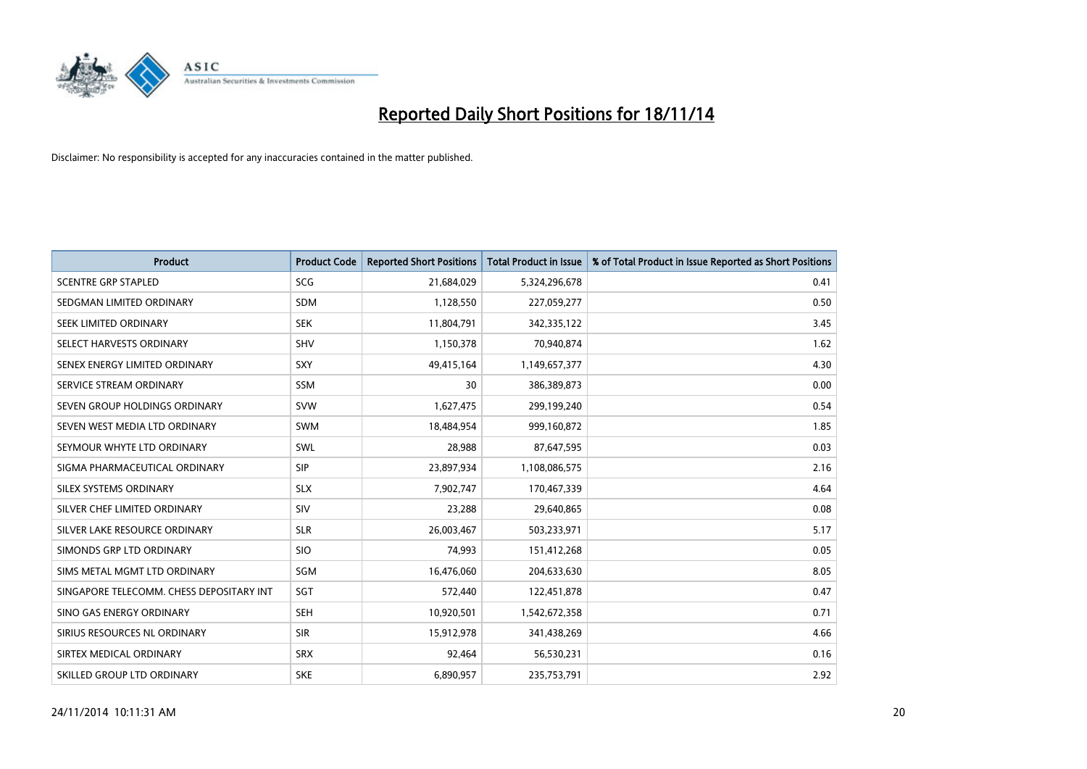

| <b>Product</b>                           | <b>Product Code</b> | <b>Reported Short Positions</b> | <b>Total Product in Issue</b> | % of Total Product in Issue Reported as Short Positions |
|------------------------------------------|---------------------|---------------------------------|-------------------------------|---------------------------------------------------------|
| <b>SCENTRE GRP STAPLED</b>               | <b>SCG</b>          | 21,684,029                      | 5,324,296,678                 | 0.41                                                    |
| SEDGMAN LIMITED ORDINARY                 | SDM                 | 1,128,550                       | 227,059,277                   | 0.50                                                    |
| SEEK LIMITED ORDINARY                    | <b>SEK</b>          | 11,804,791                      | 342,335,122                   | 3.45                                                    |
| SELECT HARVESTS ORDINARY                 | <b>SHV</b>          | 1,150,378                       | 70,940,874                    | 1.62                                                    |
| SENEX ENERGY LIMITED ORDINARY            | SXY                 | 49,415,164                      | 1,149,657,377                 | 4.30                                                    |
| SERVICE STREAM ORDINARY                  | SSM                 | 30                              | 386,389,873                   | 0.00                                                    |
| SEVEN GROUP HOLDINGS ORDINARY            | <b>SVW</b>          | 1,627,475                       | 299,199,240                   | 0.54                                                    |
| SEVEN WEST MEDIA LTD ORDINARY            | <b>SWM</b>          | 18,484,954                      | 999,160,872                   | 1.85                                                    |
| SEYMOUR WHYTE LTD ORDINARY               | SWL                 | 28,988                          | 87,647,595                    | 0.03                                                    |
| SIGMA PHARMACEUTICAL ORDINARY            | <b>SIP</b>          | 23,897,934                      | 1,108,086,575                 | 2.16                                                    |
| SILEX SYSTEMS ORDINARY                   | <b>SLX</b>          | 7,902,747                       | 170,467,339                   | 4.64                                                    |
| SILVER CHEF LIMITED ORDINARY             | SIV                 | 23,288                          | 29,640,865                    | 0.08                                                    |
| SILVER LAKE RESOURCE ORDINARY            | <b>SLR</b>          | 26,003,467                      | 503,233,971                   | 5.17                                                    |
| SIMONDS GRP LTD ORDINARY                 | <b>SIO</b>          | 74,993                          | 151,412,268                   | 0.05                                                    |
| SIMS METAL MGMT LTD ORDINARY             | SGM                 | 16,476,060                      | 204,633,630                   | 8.05                                                    |
| SINGAPORE TELECOMM. CHESS DEPOSITARY INT | SGT                 | 572,440                         | 122,451,878                   | 0.47                                                    |
| SINO GAS ENERGY ORDINARY                 | <b>SEH</b>          | 10,920,501                      | 1,542,672,358                 | 0.71                                                    |
| SIRIUS RESOURCES NL ORDINARY             | <b>SIR</b>          | 15,912,978                      | 341,438,269                   | 4.66                                                    |
| SIRTEX MEDICAL ORDINARY                  | <b>SRX</b>          | 92,464                          | 56,530,231                    | 0.16                                                    |
| SKILLED GROUP LTD ORDINARY               | <b>SKE</b>          | 6,890,957                       | 235,753,791                   | 2.92                                                    |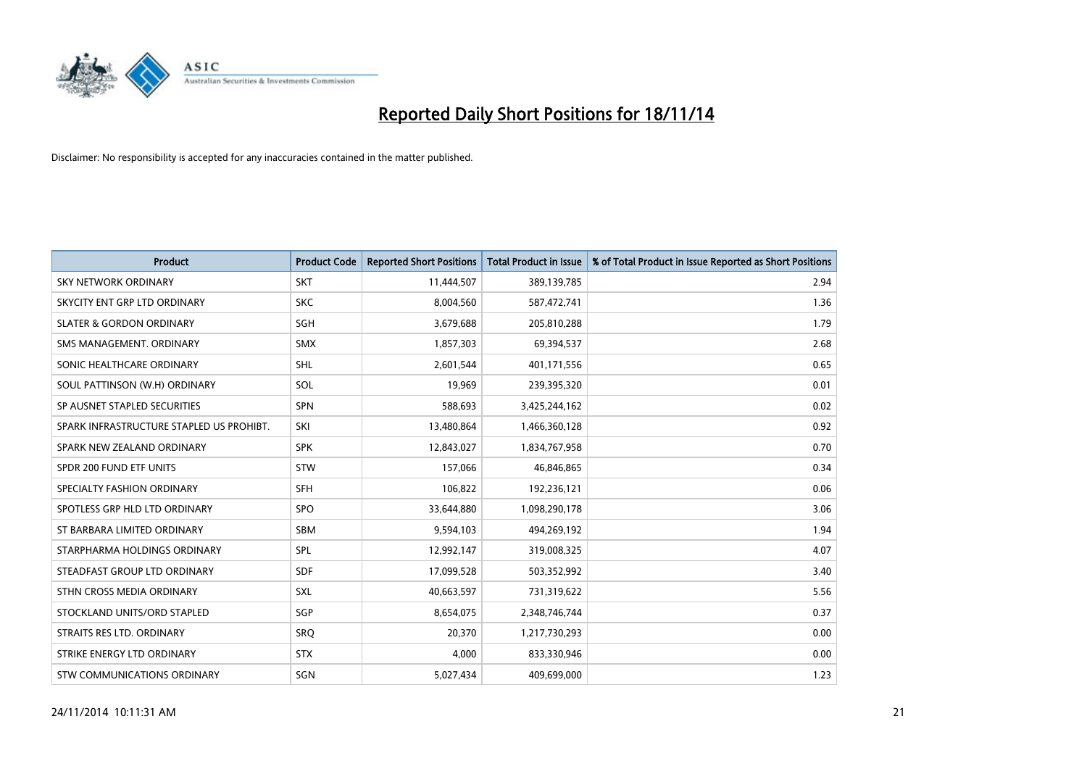

| <b>Product</b>                           | <b>Product Code</b> | <b>Reported Short Positions</b> | <b>Total Product in Issue</b> | % of Total Product in Issue Reported as Short Positions |
|------------------------------------------|---------------------|---------------------------------|-------------------------------|---------------------------------------------------------|
| <b>SKY NETWORK ORDINARY</b>              | <b>SKT</b>          | 11,444,507                      | 389,139,785                   | 2.94                                                    |
| SKYCITY ENT GRP LTD ORDINARY             | <b>SKC</b>          | 8,004,560                       | 587,472,741                   | 1.36                                                    |
| <b>SLATER &amp; GORDON ORDINARY</b>      | SGH                 | 3,679,688                       | 205,810,288                   | 1.79                                                    |
| SMS MANAGEMENT. ORDINARY                 | <b>SMX</b>          | 1,857,303                       | 69,394,537                    | 2.68                                                    |
| SONIC HEALTHCARE ORDINARY                | SHL                 | 2,601,544                       | 401,171,556                   | 0.65                                                    |
| SOUL PATTINSON (W.H) ORDINARY            | SOL                 | 19,969                          | 239,395,320                   | 0.01                                                    |
| SP AUSNET STAPLED SECURITIES             | <b>SPN</b>          | 588,693                         | 3,425,244,162                 | 0.02                                                    |
| SPARK INFRASTRUCTURE STAPLED US PROHIBT. | SKI                 | 13,480,864                      | 1,466,360,128                 | 0.92                                                    |
| SPARK NEW ZEALAND ORDINARY               | <b>SPK</b>          | 12,843,027                      | 1,834,767,958                 | 0.70                                                    |
| SPDR 200 FUND ETF UNITS                  | <b>STW</b>          | 157,066                         | 46,846,865                    | 0.34                                                    |
| SPECIALTY FASHION ORDINARY               | <b>SFH</b>          | 106,822                         | 192,236,121                   | 0.06                                                    |
| SPOTLESS GRP HLD LTD ORDINARY            | <b>SPO</b>          | 33,644,880                      | 1,098,290,178                 | 3.06                                                    |
| ST BARBARA LIMITED ORDINARY              | <b>SBM</b>          | 9,594,103                       | 494,269,192                   | 1.94                                                    |
| STARPHARMA HOLDINGS ORDINARY             | SPL                 | 12,992,147                      | 319,008,325                   | 4.07                                                    |
| STEADFAST GROUP LTD ORDINARY             | <b>SDF</b>          | 17,099,528                      | 503,352,992                   | 3.40                                                    |
| STHN CROSS MEDIA ORDINARY                | SXL                 | 40,663,597                      | 731,319,622                   | 5.56                                                    |
| STOCKLAND UNITS/ORD STAPLED              | SGP                 | 8,654,075                       | 2,348,746,744                 | 0.37                                                    |
| STRAITS RES LTD. ORDINARY                | <b>SRQ</b>          | 20,370                          | 1,217,730,293                 | 0.00                                                    |
| STRIKE ENERGY LTD ORDINARY               | <b>STX</b>          | 4,000                           | 833,330,946                   | 0.00                                                    |
| STW COMMUNICATIONS ORDINARY              | SGN                 | 5,027,434                       | 409,699,000                   | 1.23                                                    |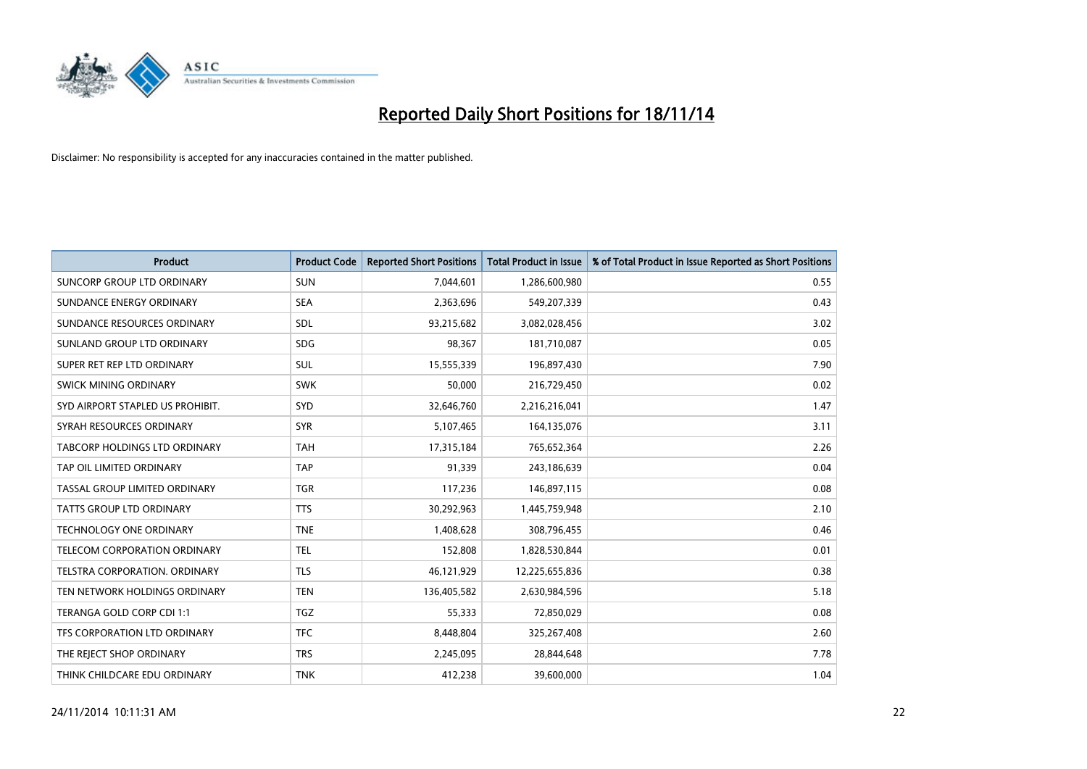

| <b>Product</b>                    | <b>Product Code</b> | <b>Reported Short Positions</b> | <b>Total Product in Issue</b> | % of Total Product in Issue Reported as Short Positions |
|-----------------------------------|---------------------|---------------------------------|-------------------------------|---------------------------------------------------------|
| <b>SUNCORP GROUP LTD ORDINARY</b> | <b>SUN</b>          | 7,044,601                       | 1,286,600,980                 | 0.55                                                    |
| SUNDANCE ENERGY ORDINARY          | <b>SEA</b>          | 2,363,696                       | 549,207,339                   | 0.43                                                    |
| SUNDANCE RESOURCES ORDINARY       | <b>SDL</b>          | 93,215,682                      | 3,082,028,456                 | 3.02                                                    |
| SUNLAND GROUP LTD ORDINARY        | <b>SDG</b>          | 98,367                          | 181,710,087                   | 0.05                                                    |
| SUPER RET REP LTD ORDINARY        | <b>SUL</b>          | 15,555,339                      | 196,897,430                   | 7.90                                                    |
| SWICK MINING ORDINARY             | <b>SWK</b>          | 50,000                          | 216,729,450                   | 0.02                                                    |
| SYD AIRPORT STAPLED US PROHIBIT.  | <b>SYD</b>          | 32,646,760                      | 2,216,216,041                 | 1.47                                                    |
| SYRAH RESOURCES ORDINARY          | <b>SYR</b>          | 5,107,465                       | 164,135,076                   | 3.11                                                    |
| TABCORP HOLDINGS LTD ORDINARY     | <b>TAH</b>          | 17,315,184                      | 765,652,364                   | 2.26                                                    |
| TAP OIL LIMITED ORDINARY          | <b>TAP</b>          | 91,339                          | 243,186,639                   | 0.04                                                    |
| TASSAL GROUP LIMITED ORDINARY     | <b>TGR</b>          | 117,236                         | 146,897,115                   | 0.08                                                    |
| <b>TATTS GROUP LTD ORDINARY</b>   | <b>TTS</b>          | 30,292,963                      | 1,445,759,948                 | 2.10                                                    |
| TECHNOLOGY ONE ORDINARY           | <b>TNE</b>          | 1,408,628                       | 308,796,455                   | 0.46                                                    |
| TELECOM CORPORATION ORDINARY      | <b>TEL</b>          | 152,808                         | 1,828,530,844                 | 0.01                                                    |
| TELSTRA CORPORATION, ORDINARY     | <b>TLS</b>          | 46,121,929                      | 12,225,655,836                | 0.38                                                    |
| TEN NETWORK HOLDINGS ORDINARY     | <b>TEN</b>          | 136,405,582                     | 2,630,984,596                 | 5.18                                                    |
| TERANGA GOLD CORP CDI 1:1         | <b>TGZ</b>          | 55,333                          | 72,850,029                    | 0.08                                                    |
| TFS CORPORATION LTD ORDINARY      | <b>TFC</b>          | 8,448,804                       | 325,267,408                   | 2.60                                                    |
| THE REJECT SHOP ORDINARY          | <b>TRS</b>          | 2,245,095                       | 28,844,648                    | 7.78                                                    |
| THINK CHILDCARE EDU ORDINARY      | <b>TNK</b>          | 412,238                         | 39,600,000                    | 1.04                                                    |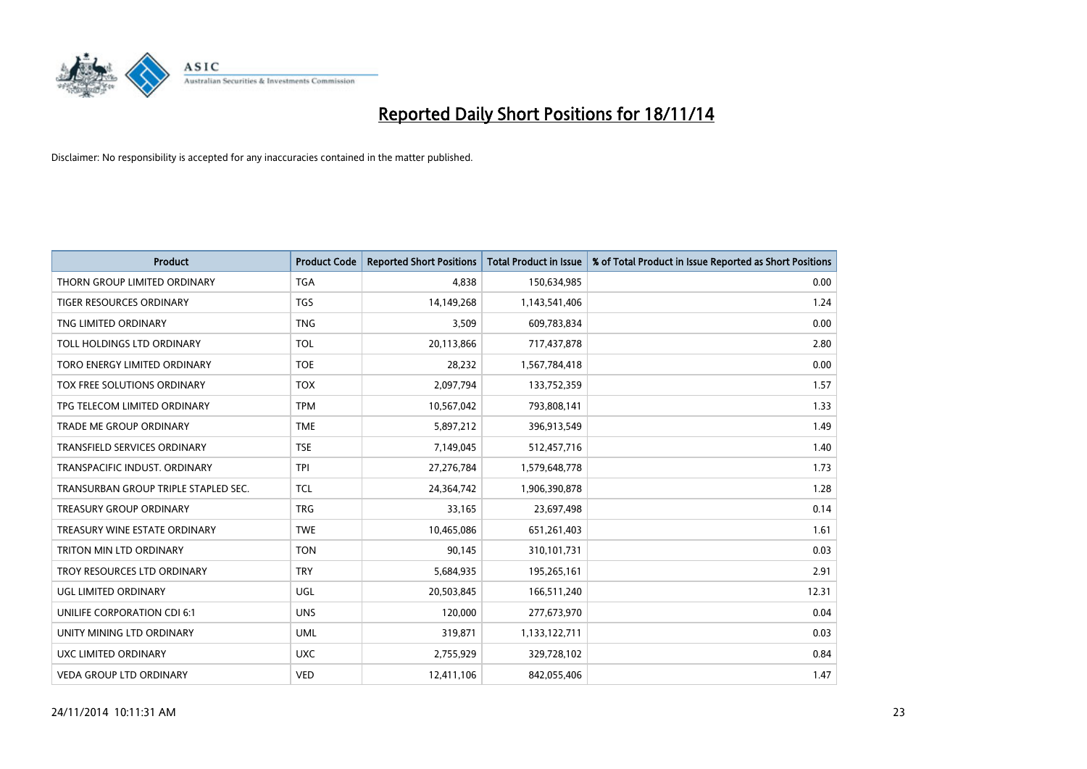

| <b>Product</b>                       | <b>Product Code</b> | <b>Reported Short Positions</b> | <b>Total Product in Issue</b> | % of Total Product in Issue Reported as Short Positions |
|--------------------------------------|---------------------|---------------------------------|-------------------------------|---------------------------------------------------------|
| THORN GROUP LIMITED ORDINARY         | <b>TGA</b>          | 4.838                           | 150,634,985                   | 0.00                                                    |
| TIGER RESOURCES ORDINARY             | <b>TGS</b>          | 14,149,268                      | 1,143,541,406                 | 1.24                                                    |
| TNG LIMITED ORDINARY                 | <b>TNG</b>          | 3,509                           | 609,783,834                   | 0.00                                                    |
| TOLL HOLDINGS LTD ORDINARY           | <b>TOL</b>          | 20,113,866                      | 717,437,878                   | 2.80                                                    |
| TORO ENERGY LIMITED ORDINARY         | <b>TOE</b>          | 28,232                          | 1,567,784,418                 | 0.00                                                    |
| TOX FREE SOLUTIONS ORDINARY          | <b>TOX</b>          | 2,097,794                       | 133,752,359                   | 1.57                                                    |
| TPG TELECOM LIMITED ORDINARY         | <b>TPM</b>          | 10,567,042                      | 793,808,141                   | 1.33                                                    |
| TRADE ME GROUP ORDINARY              | <b>TME</b>          | 5,897,212                       | 396,913,549                   | 1.49                                                    |
| <b>TRANSFIELD SERVICES ORDINARY</b>  | <b>TSE</b>          | 7,149,045                       | 512,457,716                   | 1.40                                                    |
| TRANSPACIFIC INDUST, ORDINARY        | <b>TPI</b>          | 27,276,784                      | 1,579,648,778                 | 1.73                                                    |
| TRANSURBAN GROUP TRIPLE STAPLED SEC. | <b>TCL</b>          | 24,364,742                      | 1,906,390,878                 | 1.28                                                    |
| <b>TREASURY GROUP ORDINARY</b>       | <b>TRG</b>          | 33,165                          | 23,697,498                    | 0.14                                                    |
| TREASURY WINE ESTATE ORDINARY        | <b>TWE</b>          | 10,465,086                      | 651,261,403                   | 1.61                                                    |
| TRITON MIN LTD ORDINARY              | <b>TON</b>          | 90,145                          | 310,101,731                   | 0.03                                                    |
| TROY RESOURCES LTD ORDINARY          | <b>TRY</b>          | 5,684,935                       | 195,265,161                   | 2.91                                                    |
| UGL LIMITED ORDINARY                 | UGL                 | 20,503,845                      | 166,511,240                   | 12.31                                                   |
| UNILIFE CORPORATION CDI 6:1          | <b>UNS</b>          | 120,000                         | 277,673,970                   | 0.04                                                    |
| UNITY MINING LTD ORDINARY            | <b>UML</b>          | 319,871                         | 1,133,122,711                 | 0.03                                                    |
| <b>UXC LIMITED ORDINARY</b>          | <b>UXC</b>          | 2,755,929                       | 329,728,102                   | 0.84                                                    |
| <b>VEDA GROUP LTD ORDINARY</b>       | <b>VED</b>          | 12,411,106                      | 842,055,406                   | 1.47                                                    |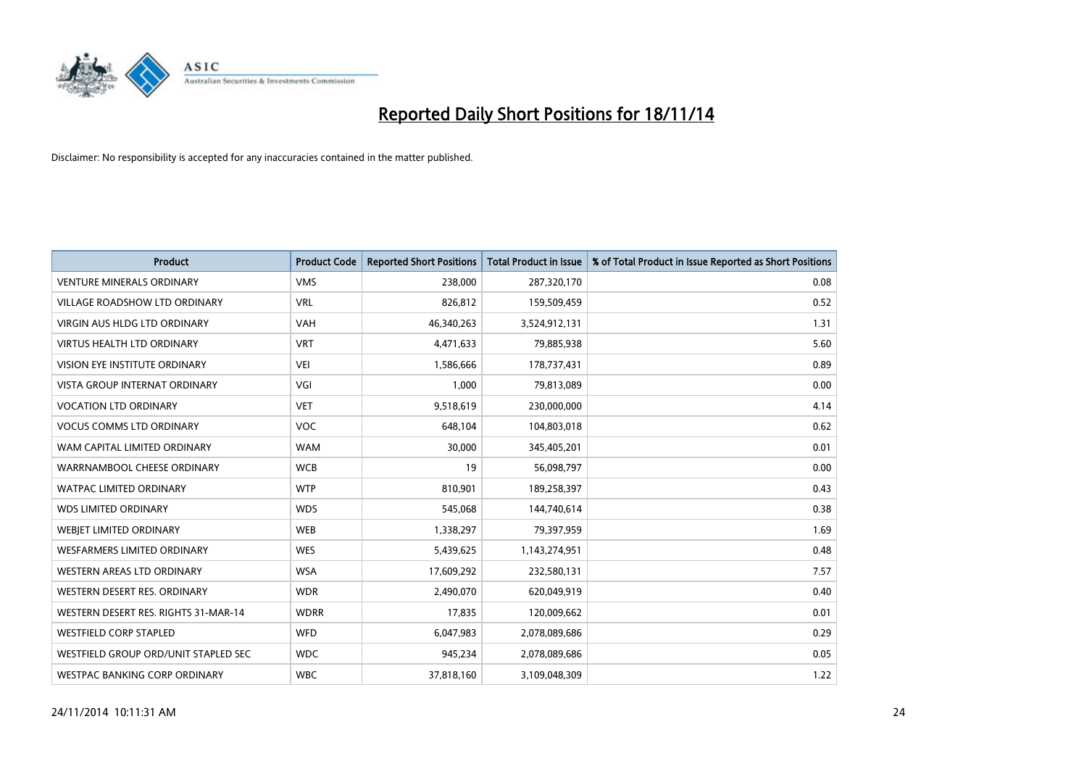

| <b>Product</b>                       | <b>Product Code</b> | <b>Reported Short Positions</b> | <b>Total Product in Issue</b> | % of Total Product in Issue Reported as Short Positions |
|--------------------------------------|---------------------|---------------------------------|-------------------------------|---------------------------------------------------------|
| <b>VENTURE MINERALS ORDINARY</b>     | <b>VMS</b>          | 238,000                         | 287,320,170                   | 0.08                                                    |
| VILLAGE ROADSHOW LTD ORDINARY        | <b>VRL</b>          | 826,812                         | 159,509,459                   | 0.52                                                    |
| <b>VIRGIN AUS HLDG LTD ORDINARY</b>  | <b>VAH</b>          | 46,340,263                      | 3,524,912,131                 | 1.31                                                    |
| <b>VIRTUS HEALTH LTD ORDINARY</b>    | <b>VRT</b>          | 4,471,633                       | 79,885,938                    | 5.60                                                    |
| <b>VISION EYE INSTITUTE ORDINARY</b> | <b>VEI</b>          | 1,586,666                       | 178,737,431                   | 0.89                                                    |
| <b>VISTA GROUP INTERNAT ORDINARY</b> | VGI                 | 1,000                           | 79,813,089                    | 0.00                                                    |
| <b>VOCATION LTD ORDINARY</b>         | <b>VET</b>          | 9,518,619                       | 230,000,000                   | 4.14                                                    |
| <b>VOCUS COMMS LTD ORDINARY</b>      | <b>VOC</b>          | 648,104                         | 104,803,018                   | 0.62                                                    |
| WAM CAPITAL LIMITED ORDINARY         | <b>WAM</b>          | 30,000                          | 345,405,201                   | 0.01                                                    |
| WARRNAMBOOL CHEESE ORDINARY          | <b>WCB</b>          | 19                              | 56,098,797                    | 0.00                                                    |
| WATPAC LIMITED ORDINARY              | <b>WTP</b>          | 810,901                         | 189,258,397                   | 0.43                                                    |
| <b>WDS LIMITED ORDINARY</b>          | <b>WDS</b>          | 545,068                         | 144,740,614                   | 0.38                                                    |
| WEBIET LIMITED ORDINARY              | <b>WEB</b>          | 1,338,297                       | 79,397,959                    | 1.69                                                    |
| <b>WESFARMERS LIMITED ORDINARY</b>   | <b>WES</b>          | 5,439,625                       | 1,143,274,951                 | 0.48                                                    |
| WESTERN AREAS LTD ORDINARY           | <b>WSA</b>          | 17,609,292                      | 232,580,131                   | 7.57                                                    |
| WESTERN DESERT RES. ORDINARY         | <b>WDR</b>          | 2,490,070                       | 620,049,919                   | 0.40                                                    |
| WESTERN DESERT RES. RIGHTS 31-MAR-14 | <b>WDRR</b>         | 17,835                          | 120,009,662                   | 0.01                                                    |
| <b>WESTFIELD CORP STAPLED</b>        | <b>WFD</b>          | 6,047,983                       | 2,078,089,686                 | 0.29                                                    |
| WESTFIELD GROUP ORD/UNIT STAPLED SEC | <b>WDC</b>          | 945,234                         | 2,078,089,686                 | 0.05                                                    |
| WESTPAC BANKING CORP ORDINARY        | <b>WBC</b>          | 37,818,160                      | 3,109,048,309                 | 1.22                                                    |